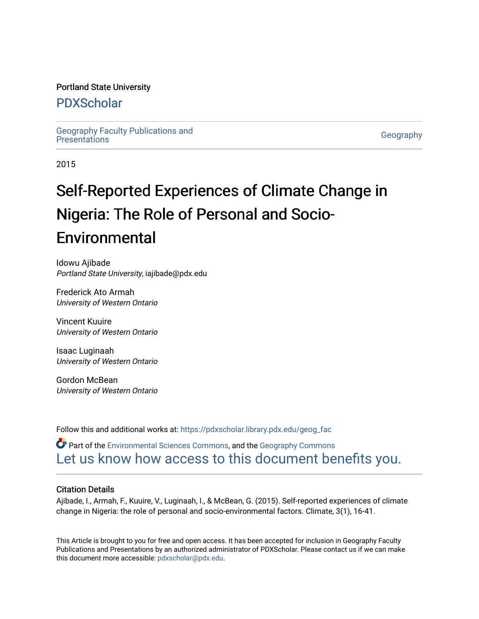#### Portland State University

## [PDXScholar](https://pdxscholar.library.pdx.edu/)

[Geography Faculty Publications and](https://pdxscholar.library.pdx.edu/geog_fac)  deography racuity Publications and<br>[Presentations](https://pdxscholar.library.pdx.edu/geog_fac) Geography

2015

# Self-Reported Experiences of Climate Change in Nigeria: The Role of Personal and Socio-Environmental

Idowu Ajibade Portland State University, iajibade@pdx.edu

Frederick Ato Armah University of Western Ontario

Vincent Kuuire University of Western Ontario

Isaac Luginaah University of Western Ontario

Gordon McBean University of Western Ontario

Follow this and additional works at: [https://pdxscholar.library.pdx.edu/geog\\_fac](https://pdxscholar.library.pdx.edu/geog_fac?utm_source=pdxscholar.library.pdx.edu%2Fgeog_fac%2F144&utm_medium=PDF&utm_campaign=PDFCoverPages) 

 $\bullet$  Part of the [Environmental Sciences Commons](http://network.bepress.com/hgg/discipline/167?utm_source=pdxscholar.library.pdx.edu%2Fgeog_fac%2F144&utm_medium=PDF&utm_campaign=PDFCoverPages), and the Geography Commons [Let us know how access to this document benefits you.](http://library.pdx.edu/services/pdxscholar-services/pdxscholar-feedback/?ref=https://pdxscholar.library.pdx.edu/geog_fac/144) 

#### Citation Details

Ajibade, I., Armah, F., Kuuire, V., Luginaah, I., & McBean, G. (2015). Self-reported experiences of climate change in Nigeria: the role of personal and socio-environmental factors. Climate, 3(1), 16-41.

This Article is brought to you for free and open access. It has been accepted for inclusion in Geography Faculty Publications and Presentations by an authorized administrator of PDXScholar. Please contact us if we can make this document more accessible: [pdxscholar@pdx.edu.](mailto:pdxscholar@pdx.edu)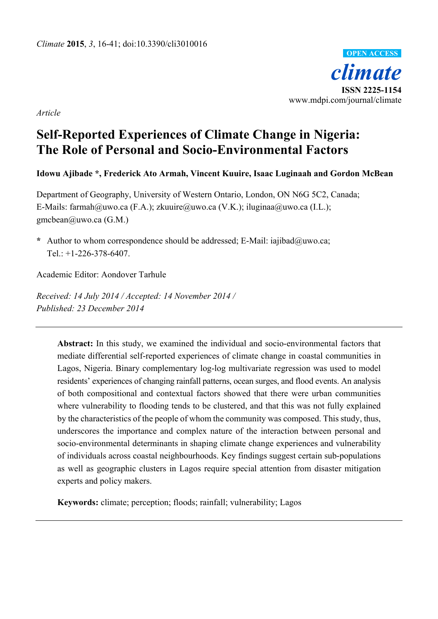

*Article* 

# **Self-Reported Experiences of Climate Change in Nigeria: The Role of Personal and Socio-Environmental Factors**

### **Idowu Ajibade \*, Frederick Ato Armah, Vincent Kuuire, Isaac Luginaah and Gordon McBean**

Department of Geography, University of Western Ontario, London, ON N6G 5C2, Canada; E-Mails: farmah@uwo.ca (F.A.); zkuuire@uwo.ca (V.K.); iluginaa@uwo.ca (I.L.); gmcbean@uwo.ca (G.M.)

**\*** Author to whom correspondence should be addressed; E-Mail: iajibad@uwo.ca; Tel.: +1-226-378-6407.

Academic Editor: Aondover Tarhule

*Received: 14 July 2014 / Accepted: 14 November 2014 / Published: 23 December 2014* 

> **Abstract:** In this study, we examined the individual and socio-environmental factors that mediate differential self-reported experiences of climate change in coastal communities in Lagos, Nigeria. Binary complementary log-log multivariate regression was used to model residents' experiences of changing rainfall patterns, ocean surges, and flood events. An analysis of both compositional and contextual factors showed that there were urban communities where vulnerability to flooding tends to be clustered, and that this was not fully explained by the characteristics of the people of whom the community was composed. This study, thus, underscores the importance and complex nature of the interaction between personal and socio-environmental determinants in shaping climate change experiences and vulnerability of individuals across coastal neighbourhoods. Key findings suggest certain sub-populations as well as geographic clusters in Lagos require special attention from disaster mitigation experts and policy makers.

**Keywords:** climate; perception; floods; rainfall; vulnerability; Lagos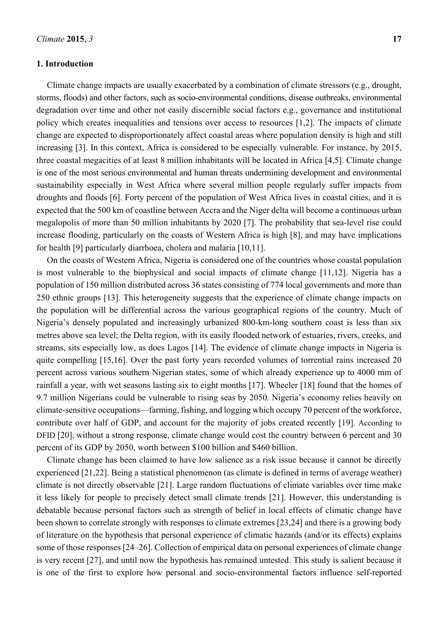#### **1. Introduction**

Climate change impacts are usually exacerbated by a combination of climate stressors (e.g., drought, storms, floods) and other factors, such as socio-environmental conditions, disease outbreaks, environmental degradation over time and other not easily discernible social factors e.g., governance and institutional policy which creates inequalities and tensions over access to resources [1,2]. The impacts of climate change are expected to disproportionately affect coastal areas where population density is high and still increasing [3]. In this context, Africa is considered to be especially vulnerable. For instance, by 2015, three coastal megacities of at least 8 million inhabitants will be located in Africa [4,5]. Climate change is one of the most serious environmental and human threats undermining development and environmental sustainability especially in West Africa where several million people regularly suffer impacts from droughts and floods [6]. Forty percent of the population of West Africa lives in coastal cities, and it is expected that the 500 km of coastline between Accra and the Niger delta will become a continuous urban megalopolis of more than 50 million inhabitants by 2020 [7]. The probability that sea-level rise could increase flooding, particularly on the coasts of Western Africa is high [8], and may have implications for health [9] particularly diarrhoea, cholera and malaria [10,11].

On the coasts of Western Africa, Nigeria is considered one of the countries whose coastal population is most vulnerable to the biophysical and social impacts of climate change [11,12]. Nigeria has a population of 150 million distributed across 36 states consisting of 774 local governments and more than 250 ethnic groups [13]. This heterogeneity suggests that the experience of climate change impacts on the population will be differential across the various geographical regions of the country. Much of Nigeria's densely populated and increasingly urbanized 800-km-long southern coast is less than six metres above sea level; the Delta region, with its easily flooded network of estuaries, rivers, creeks, and streams, sits especially low, as does Lagos [14]. The evidence of climate change impacts in Nigeria is quite compelling [15,16]. Over the past forty years recorded volumes of torrential rains increased 20 percent across various southern Nigerian states, some of which already experience up to 4000 mm of rainfall a year, with wet seasons lasting six to eight months [17]. Wheeler [18] found that the homes of 9.7 million Nigerians could be vulnerable to rising seas by 2050. Nigeria's economy relies heavily on climate-sensitive occupations—farming, fishing, and logging which occupy 70 percent of the workforce, contribute over half of GDP, and account for the majority of jobs created recently [19]. According to DFID [20], without a strong response, climate change would cost the country between 6 percent and 30 percent of its GDP by 2050, worth between \$100 billion and \$460 billion.

Climate change has been claimed to have low salience as a risk issue because it cannot be directly experienced [21,22]. Being a statistical phenomenon (as climate is defined in terms of average weather) climate is not directly observable [21]. Large random fluctuations of climate variables over time make it less likely for people to precisely detect small climate trends [21]. However, this understanding is debatable because personal factors such as strength of belief in local effects of climatic change have been shown to correlate strongly with responses to climate extremes [23,24] and there is a growing body of literature on the hypothesis that personal experience of climatic hazards (and/or its effects) explains some of those responses [24–26]. Collection of empirical data on personal experiences of climate change is very recent [27], and until now the hypothesis has remained untested. This study is salient because it is one of the first to explore how personal and socio-environmental factors influence self-reported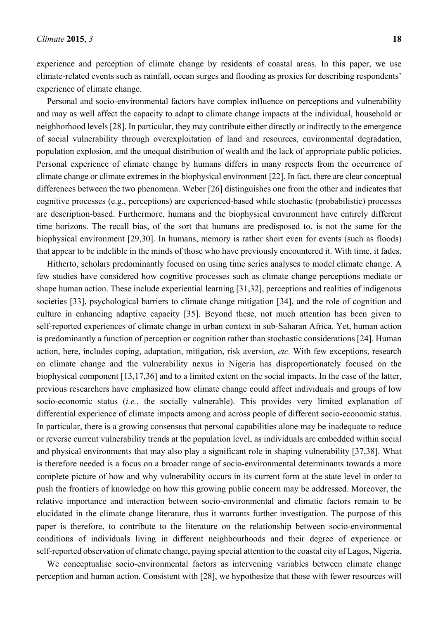experience and perception of climate change by residents of coastal areas. In this paper, we use climate-related events such as rainfall, ocean surges and flooding as proxies for describing respondents' experience of climate change.

Personal and socio-environmental factors have complex influence on perceptions and vulnerability and may as well affect the capacity to adapt to climate change impacts at the individual, household or neighborhood levels [28]. In particular, they may contribute either directly or indirectly to the emergence of social vulnerability through overexploitation of land and resources, environmental degradation, population explosion, and the unequal distribution of wealth and the lack of appropriate public policies. Personal experience of climate change by humans differs in many respects from the occurrence of climate change or climate extremes in the biophysical environment [22]. In fact, there are clear conceptual differences between the two phenomena. Weber [26] distinguishes one from the other and indicates that cognitive processes (e.g., perceptions) are experienced-based while stochastic (probabilistic) processes are description-based. Furthermore, humans and the biophysical environment have entirely different time horizons. The recall bias, of the sort that humans are predisposed to, is not the same for the biophysical environment [29,30]. In humans, memory is rather short even for events (such as floods) that appear to be indelible in the minds of those who have previously encountered it. With time, it fades.

Hitherto, scholars predominantly focused on using time series analyses to model climate change. A few studies have considered how cognitive processes such as climate change perceptions mediate or shape human action. These include experiential learning [31,32], perceptions and realities of indigenous societies [33], psychological barriers to climate change mitigation [34], and the role of cognition and culture in enhancing adaptive capacity [35]. Beyond these, not much attention has been given to self-reported experiences of climate change in urban context in sub-Saharan Africa. Yet, human action is predominantly a function of perception or cognition rather than stochastic considerations [24]. Human action, here, includes coping, adaptation, mitigation, risk aversion, *etc.* With few exceptions, research on climate change and the vulnerability nexus in Nigeria has disproportionately focused on the biophysical component [13,17,36] and to a limited extent on the social impacts. In the case of the latter, previous researchers have emphasized how climate change could affect individuals and groups of low socio-economic status (*i.e.*, the socially vulnerable). This provides very limited explanation of differential experience of climate impacts among and across people of different socio-economic status. In particular, there is a growing consensus that personal capabilities alone may be inadequate to reduce or reverse current vulnerability trends at the population level, as individuals are embedded within social and physical environments that may also play a significant role in shaping vulnerability [37,38]. What is therefore needed is a focus on a broader range of socio-environmental determinants towards a more complete picture of how and why vulnerability occurs in its current form at the state level in order to push the frontiers of knowledge on how this growing public concern may be addressed. Moreover, the relative importance and interaction between socio-environmental and climatic factors remain to be elucidated in the climate change literature, thus it warrants further investigation. The purpose of this paper is therefore, to contribute to the literature on the relationship between socio-environmental conditions of individuals living in different neighbourhoods and their degree of experience or self-reported observation of climate change, paying special attention to the coastal city of Lagos, Nigeria.

We conceptualise socio-environmental factors as intervening variables between climate change perception and human action. Consistent with [28], we hypothesize that those with fewer resources will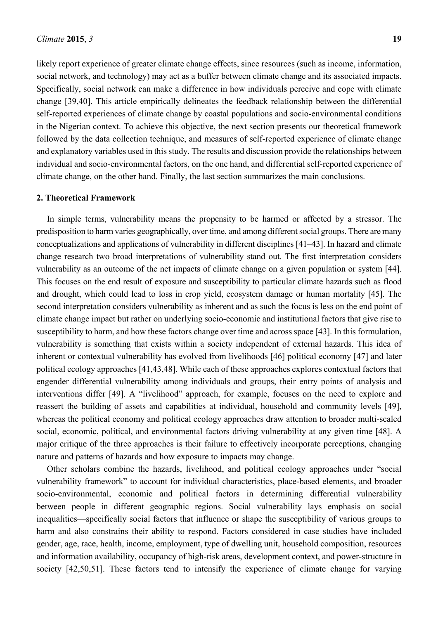likely report experience of greater climate change effects, since resources (such as income, information, social network, and technology) may act as a buffer between climate change and its associated impacts. Specifically, social network can make a difference in how individuals perceive and cope with climate change [39,40]. This article empirically delineates the feedback relationship between the differential self-reported experiences of climate change by coastal populations and socio-environmental conditions in the Nigerian context. To achieve this objective, the next section presents our theoretical framework followed by the data collection technique, and measures of self-reported experience of climate change and explanatory variables used in this study. The results and discussion provide the relationships between individual and socio-environmental factors, on the one hand, and differential self-reported experience of climate change, on the other hand. Finally, the last section summarizes the main conclusions.

#### **2. Theoretical Framework**

In simple terms, vulnerability means the propensity to be harmed or affected by a stressor. The predisposition to harm varies geographically, over time, and among different social groups. There are many conceptualizations and applications of vulnerability in different disciplines [41–43]. In hazard and climate change research two broad interpretations of vulnerability stand out. The first interpretation considers vulnerability as an outcome of the net impacts of climate change on a given population or system [44]. This focuses on the end result of exposure and susceptibility to particular climate hazards such as flood and drought, which could lead to loss in crop yield, ecosystem damage or human mortality [45]. The second interpretation considers vulnerability as inherent and as such the focus is less on the end point of climate change impact but rather on underlying socio-economic and institutional factors that give rise to susceptibility to harm, and how these factors change over time and across space [43]. In this formulation, vulnerability is something that exists within a society independent of external hazards. This idea of inherent or contextual vulnerability has evolved from livelihoods [46] political economy [47] and later political ecology approaches [41,43,48]. While each of these approaches explores contextual factors that engender differential vulnerability among individuals and groups, their entry points of analysis and interventions differ [49]. A "livelihood" approach, for example, focuses on the need to explore and reassert the building of assets and capabilities at individual, household and community levels [49], whereas the political economy and political ecology approaches draw attention to broader multi-scaled social, economic, political, and environmental factors driving vulnerability at any given time [48]. A major critique of the three approaches is their failure to effectively incorporate perceptions, changing nature and patterns of hazards and how exposure to impacts may change.

Other scholars combine the hazards, livelihood, and political ecology approaches under "social vulnerability framework" to account for individual characteristics, place-based elements, and broader socio-environmental, economic and political factors in determining differential vulnerability between people in different geographic regions. Social vulnerability lays emphasis on social inequalities—specifically social factors that influence or shape the susceptibility of various groups to harm and also constrains their ability to respond. Factors considered in case studies have included gender, age, race, health, income, employment, type of dwelling unit, household composition, resources and information availability, occupancy of high-risk areas, development context, and power-structure in society [42,50,51]. These factors tend to intensify the experience of climate change for varying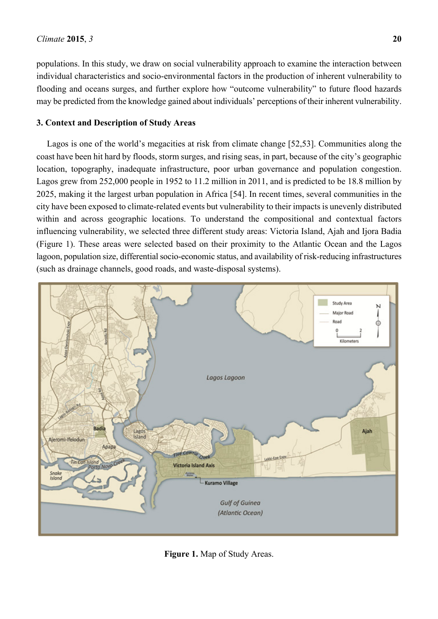populations. In this study, we draw on social vulnerability approach to examine the interaction between individual characteristics and socio-environmental factors in the production of inherent vulnerability to flooding and oceans surges, and further explore how "outcome vulnerability" to future flood hazards may be predicted from the knowledge gained about individuals' perceptions of their inherent vulnerability.

#### **3. Context and Description of Study Areas**

Lagos is one of the world's megacities at risk from climate change [52,53]. Communities along the coast have been hit hard by floods, storm surges, and rising seas, in part, because of the city's geographic location, topography, inadequate infrastructure, poor urban governance and population congestion. Lagos grew from 252,000 people in 1952 to 11.2 million in 2011, and is predicted to be 18.8 million by 2025, making it the largest urban population in Africa [54]. In recent times, several communities in the city have been exposed to climate-related events but vulnerability to their impacts is unevenly distributed within and across geographic locations. To understand the compositional and contextual factors influencing vulnerability, we selected three different study areas: Victoria Island, Ajah and Ijora Badia (Figure 1). These areas were selected based on their proximity to the Atlantic Ocean and the Lagos lagoon, population size, differential socio-economic status, and availability of risk-reducing infrastructures (such as drainage channels, good roads, and waste-disposal systems).



**Figure 1.** Map of Study Areas.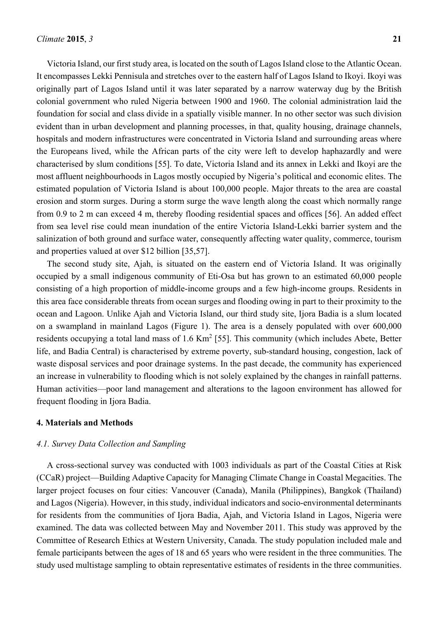Victoria Island, our first study area, is located on the south of Lagos Island close to the Atlantic Ocean. It encompasses Lekki Pennisula and stretches over to the eastern half of Lagos Island to Ikoyi. Ikoyi was originally part of Lagos Island until it was later separated by a narrow waterway dug by the British colonial government who ruled Nigeria between 1900 and 1960. The colonial administration laid the foundation for social and class divide in a spatially visible manner. In no other sector was such division evident than in urban development and planning processes, in that, quality housing, drainage channels, hospitals and modern infrastructures were concentrated in Victoria Island and surrounding areas where the Europeans lived, while the African parts of the city were left to develop haphazardly and were characterised by slum conditions [55]. To date, Victoria Island and its annex in Lekki and Ikoyi are the most affluent neighbourhoods in Lagos mostly occupied by Nigeria's political and economic elites. The estimated population of Victoria Island is about 100,000 people. Major threats to the area are coastal erosion and storm surges. During a storm surge the wave length along the coast which normally range from 0.9 to 2 m can exceed 4 m, thereby flooding residential spaces and offices [56]. An added effect from sea level rise could mean inundation of the entire Victoria Island-Lekki barrier system and the salinization of both ground and surface water, consequently affecting water quality, commerce, tourism and properties valued at over \$12 billion [35,57].

The second study site, Ajah, is situated on the eastern end of Victoria Island. It was originally occupied by a small indigenous community of Eti-Osa but has grown to an estimated 60,000 people consisting of a high proportion of middle-income groups and a few high-income groups. Residents in this area face considerable threats from ocean surges and flooding owing in part to their proximity to the ocean and Lagoon. Unlike Ajah and Victoria Island, our third study site, Ijora Badia is a slum located on a swampland in mainland Lagos (Figure 1). The area is a densely populated with over 600,000 residents occupying a total land mass of  $1.6 \text{ Km}^2$  [55]. This community (which includes Abete, Better life, and Badia Central) is characterised by extreme poverty, sub-standard housing, congestion, lack of waste disposal services and poor drainage systems. In the past decade, the community has experienced an increase in vulnerability to flooding which is not solely explained by the changes in rainfall patterns. Human activities—poor land management and alterations to the lagoon environment has allowed for frequent flooding in Ijora Badia.

#### **4. Materials and Methods**

#### *4.1. Survey Data Collection and Sampling*

A cross-sectional survey was conducted with 1003 individuals as part of the Coastal Cities at Risk (CCaR) project—Building Adaptive Capacity for Managing Climate Change in Coastal Megacities. The larger project focuses on four cities: Vancouver (Canada), Manila (Philippines), Bangkok (Thailand) and Lagos (Nigeria). However, in this study, individual indicators and socio-environmental determinants for residents from the communities of Ijora Badia, Ajah, and Victoria Island in Lagos, Nigeria were examined. The data was collected between May and November 2011. This study was approved by the Committee of Research Ethics at Western University, Canada. The study population included male and female participants between the ages of 18 and 65 years who were resident in the three communities. The study used multistage sampling to obtain representative estimates of residents in the three communities.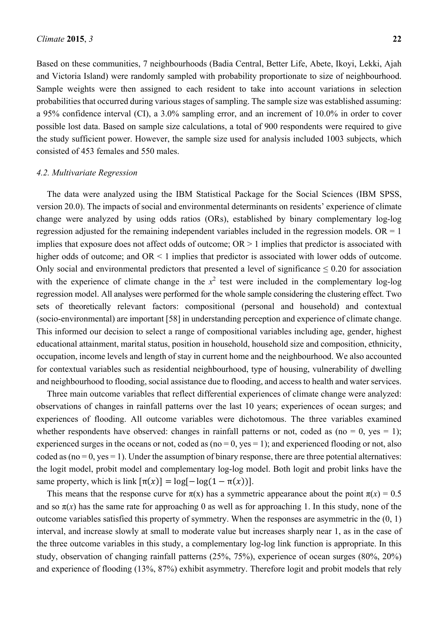Based on these communities, 7 neighbourhoods (Badia Central, Better Life, Abete, Ikoyi, Lekki, Ajah and Victoria Island) were randomly sampled with probability proportionate to size of neighbourhood. Sample weights were then assigned to each resident to take into account variations in selection probabilities that occurred during various stages of sampling. The sample size was established assuming: a 95% confidence interval (CI), a 3.0% sampling error, and an increment of 10.0% in order to cover possible lost data. Based on sample size calculations, a total of 900 respondents were required to give the study sufficient power. However, the sample size used for analysis included 1003 subjects, which consisted of 453 females and 550 males.

#### *4.2. Multivariate Regression*

The data were analyzed using the IBM Statistical Package for the Social Sciences (IBM SPSS, version 20.0). The impacts of social and environmental determinants on residents' experience of climate change were analyzed by using odds ratios (ORs), established by binary complementary log-log regression adjusted for the remaining independent variables included in the regression models. OR  $= 1$ implies that exposure does not affect odds of outcome;  $OR > 1$  implies that predictor is associated with higher odds of outcome; and  $OR < 1$  implies that predictor is associated with lower odds of outcome. Only social and environmental predictors that presented a level of significance  $\leq 0.20$  for association with the experience of climate change in the  $x^2$  test were included in the complementary log-log regression model. All analyses were performed for the whole sample considering the clustering effect. Two sets of theoretically relevant factors: compositional (personal and household) and contextual (socio-environmental) are important [58] in understanding perception and experience of climate change. This informed our decision to select a range of compositional variables including age, gender, highest educational attainment, marital status, position in household, household size and composition, ethnicity, occupation, income levels and length of stay in current home and the neighbourhood. We also accounted for contextual variables such as residential neighbourhood, type of housing, vulnerability of dwelling and neighbourhood to flooding, social assistance due to flooding, and access to health and water services.

Three main outcome variables that reflect differential experiences of climate change were analyzed: observations of changes in rainfall patterns over the last 10 years; experiences of ocean surges; and experiences of flooding. All outcome variables were dichotomous. The three variables examined whether respondents have observed: changes in rainfall patterns or not, coded as (no = 0, yes = 1); experienced surges in the oceans or not, coded as ( $no = 0$ ,  $yes = 1$ ); and experienced flooding or not, also coded as  $(no = 0, yes = 1)$ . Under the assumption of binary response, there are three potential alternatives: the logit model, probit model and complementary log-log model. Both logit and probit links have the same property, which is link  $[\pi(x)] = \log[-\log(1 - \pi(x))]$ .

This means that the response curve for  $\pi(x)$  has a symmetric appearance about the point  $\pi(x) = 0.5$ and so  $\pi(x)$  has the same rate for approaching 0 as well as for approaching 1. In this study, none of the outcome variables satisfied this property of symmetry. When the responses are asymmetric in the (0, 1) interval, and increase slowly at small to moderate value but increases sharply near 1, as in the case of the three outcome variables in this study, a complementary log-log link function is appropriate. In this study, observation of changing rainfall patterns (25%, 75%), experience of ocean surges (80%, 20%) and experience of flooding (13%, 87%) exhibit asymmetry. Therefore logit and probit models that rely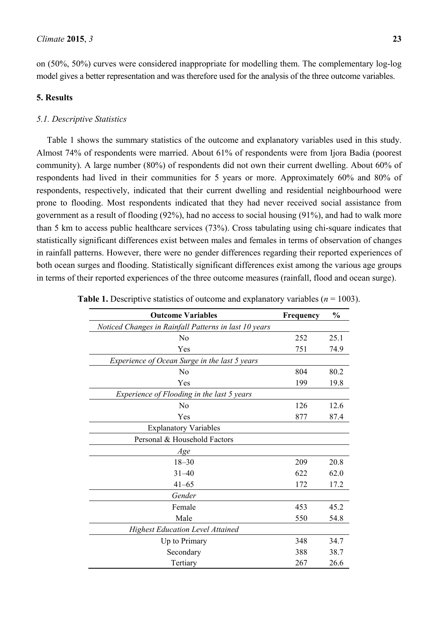on (50%, 50%) curves were considered inappropriate for modelling them. The complementary log-log model gives a better representation and was therefore used for the analysis of the three outcome variables.

#### **5. Results**

#### *5.1. Descriptive Statistics*

Table 1 shows the summary statistics of the outcome and explanatory variables used in this study. Almost 74% of respondents were married. About 61% of respondents were from Ijora Badia (poorest community). A large number (80%) of respondents did not own their current dwelling. About 60% of respondents had lived in their communities for 5 years or more. Approximately 60% and 80% of respondents, respectively, indicated that their current dwelling and residential neighbourhood were prone to flooding. Most respondents indicated that they had never received social assistance from government as a result of flooding (92%), had no access to social housing (91%), and had to walk more than 5 km to access public healthcare services (73%). Cross tabulating using chi-square indicates that statistically significant differences exist between males and females in terms of observation of changes in rainfall patterns. However, there were no gender differences regarding their reported experiences of both ocean surges and flooding. Statistically significant differences exist among the various age groups in terms of their reported experiences of the three outcome measures (rainfall, flood and ocean surge).

| <b>Outcome Variables</b>                              | Frequency | $\frac{0}{0}$ |
|-------------------------------------------------------|-----------|---------------|
| Noticed Changes in Rainfall Patterns in last 10 years |           |               |
| N <sub>0</sub>                                        | 252       | 25.1          |
| Yes                                                   | 751       | 74.9          |
| Experience of Ocean Surge in the last 5 years         |           |               |
| N <sub>o</sub>                                        | 804       | 80.2          |
| Yes                                                   | 199       | 19.8          |
| Experience of Flooding in the last 5 years            |           |               |
| No                                                    | 126       | 12.6          |
| Yes                                                   | 877       | 87.4          |
| <b>Explanatory Variables</b>                          |           |               |
| Personal & Household Factors                          |           |               |
| Age                                                   |           |               |
| $18 - 30$                                             | 209       | 20.8          |
| $31 - 40$                                             | 622       | 62.0          |
| $41 - 65$                                             | 172       | 17.2          |
| Gender                                                |           |               |
| Female                                                | 453       | 45.2          |
| Male                                                  | 550       | 54.8          |
| <b>Highest Education Level Attained</b>               |           |               |
| Up to Primary                                         | 348       | 34.7          |
| Secondary                                             | 388       | 38.7          |
| Tertiary                                              | 267       | 26.6          |

| <b>Table 1.</b> Descriptive statistics of outcome and explanatory variables ( $n = 1003$ ). |  |  |
|---------------------------------------------------------------------------------------------|--|--|
|---------------------------------------------------------------------------------------------|--|--|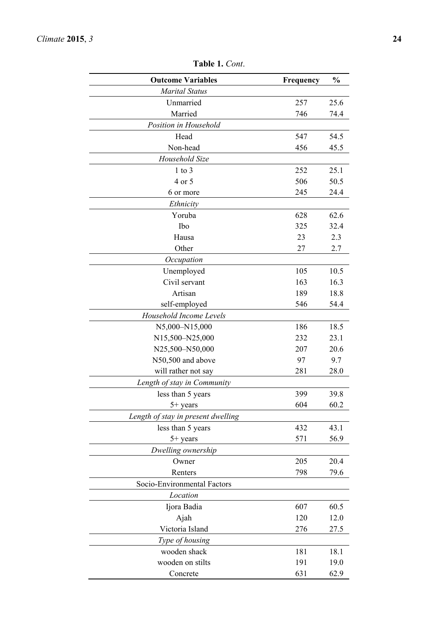| <b>Outcome Variables</b>           | Frequency | $\frac{0}{0}$ |  |
|------------------------------------|-----------|---------------|--|
| <b>Marital Status</b>              |           |               |  |
| Unmarried                          | 257       | 25.6          |  |
| Married                            | 746       | 74.4          |  |
| Position in Household              |           |               |  |
| Head                               | 547       | 54.5          |  |
| Non-head                           | 456       | 45.5          |  |
| Household Size                     |           |               |  |
| $1$ to $3$                         | 252       | 25.1          |  |
| 4 or 5                             | 506       | 50.5          |  |
| 6 or more                          | 245       | 24.4          |  |
| Ethnicity                          |           |               |  |
| Yoruba                             | 628       | 62.6          |  |
| Ibo                                | 325       | 32.4          |  |
| Hausa                              | 23        | 2.3           |  |
| Other                              | 27        | 2.7           |  |
| Occupation                         |           |               |  |
| Unemployed                         | 105       | 10.5          |  |
| Civil servant                      | 163       | 16.3          |  |
| Artisan                            | 189       | 18.8          |  |
| self-employed                      | 546       | 54.4          |  |
| Household Income Levels            |           |               |  |
| N5,000-N15,000                     | 186       | 18.5          |  |
| N15,500-N25,000                    | 232       | 23.1          |  |
| N25,500-N50,000                    | 207       | 20.6          |  |
| N50,500 and above                  | 97        | 9.7           |  |
| will rather not say                | 281       | 28.0          |  |
| Length of stay in Community        |           |               |  |
| less than 5 years                  | 399       | 39.8          |  |
| 5+ years                           | 604       | 60.2          |  |
| Length of stay in present dwelling |           |               |  |
| less than 5 years                  | 432       | 43.1          |  |
| 5+ years                           | 571       | 56.9          |  |
| Dwelling ownership                 |           |               |  |
| Owner                              | 205       | 20.4          |  |
| Renters                            | 798       | 79.6          |  |
| Socio-Environmental Factors        |           |               |  |
| Location                           |           |               |  |
| Ijora Badia                        | 607       | 60.5          |  |
| Ajah                               | 120       | 12.0          |  |
| Victoria Island                    | 276       | 27.5          |  |
| Type of housing                    |           |               |  |
| wooden shack                       | 181       | 18.1          |  |
| wooden on stilts                   | 191       | 19.0          |  |
| Concrete                           | 631       | 62.9          |  |

**Table 1.** *Cont*.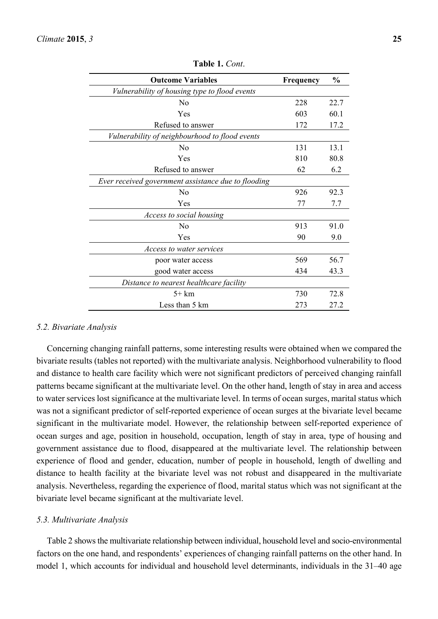| <b>Outcome Variables</b>                            | <b>Frequency</b> | $\frac{0}{0}$ |
|-----------------------------------------------------|------------------|---------------|
| Vulnerability of housing type to flood events       |                  |               |
| N <sub>0</sub>                                      | 228              | 22.7          |
| Yes                                                 | 603              | 60.1          |
| Refused to answer                                   | 172              | 17.2          |
| Vulnerability of neighbourhood to flood events      |                  |               |
| N <sub>0</sub>                                      | 131              | 13.1          |
| Yes                                                 | 810              | 80.8          |
| Refused to answer                                   | 62               | 6.2           |
| Ever received government assistance due to flooding |                  |               |
| N <sub>0</sub>                                      | 926              | 92.3          |
| Yes                                                 | 77               | 7.7           |
| Access to social housing                            |                  |               |
| N <sub>0</sub>                                      | 913              | 91.0          |
| Yes                                                 | 90               | 9.0           |
| <i>Access to water services</i>                     |                  |               |
| poor water access                                   | 569              | 56.7          |
| good water access                                   | 434              | 43.3          |
| Distance to nearest healthcare facility             |                  |               |
| $5+km$                                              | 730              | 72.8          |
| Less than 5 km                                      | 273              | 27.2          |

**Table 1.** *Cont*.

#### *5.2. Bivariate Analysis*

Concerning changing rainfall patterns, some interesting results were obtained when we compared the bivariate results (tables not reported) with the multivariate analysis. Neighborhood vulnerability to flood and distance to health care facility which were not significant predictors of perceived changing rainfall patterns became significant at the multivariate level. On the other hand, length of stay in area and access to water services lost significance at the multivariate level. In terms of ocean surges, marital status which was not a significant predictor of self-reported experience of ocean surges at the bivariate level became significant in the multivariate model. However, the relationship between self-reported experience of ocean surges and age, position in household, occupation, length of stay in area, type of housing and government assistance due to flood, disappeared at the multivariate level. The relationship between experience of flood and gender, education, number of people in household, length of dwelling and distance to health facility at the bivariate level was not robust and disappeared in the multivariate analysis. Nevertheless, regarding the experience of flood, marital status which was not significant at the bivariate level became significant at the multivariate level.

#### *5.3. Multivariate Analysis*

Table 2 shows the multivariate relationship between individual, household level and socio-environmental factors on the one hand, and respondents' experiences of changing rainfall patterns on the other hand. In model 1, which accounts for individual and household level determinants, individuals in the 31–40 age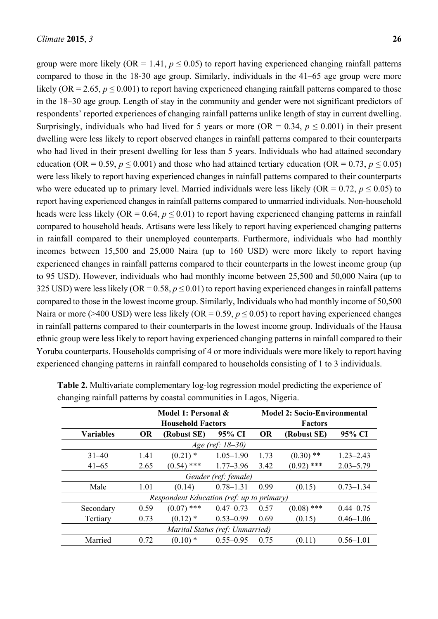group were more likely ( $OR = 1.41$ ,  $p \le 0.05$ ) to report having experienced changing rainfall patterns compared to those in the 18-30 age group. Similarly, individuals in the 41–65 age group were more likely (OR = 2.65,  $p \le 0.001$ ) to report having experienced changing rainfall patterns compared to those in the 18–30 age group. Length of stay in the community and gender were not significant predictors of respondents' reported experiences of changing rainfall patterns unlike length of stay in current dwelling. Surprisingly, individuals who had lived for 5 years or more ( $OR = 0.34$ ,  $p \le 0.001$ ) in their present dwelling were less likely to report observed changes in rainfall patterns compared to their counterparts who had lived in their present dwelling for less than 5 years. Individuals who had attained secondary education (OR = 0.59,  $p \le 0.001$ ) and those who had attained tertiary education (OR = 0.73,  $p \le 0.05$ ) were less likely to report having experienced changes in rainfall patterns compared to their counterparts who were educated up to primary level. Married individuals were less likely (OR =  $0.72$ ,  $p \le 0.05$ ) to report having experienced changes in rainfall patterns compared to unmarried individuals. Non-household heads were less likely (OR = 0.64,  $p \le 0.01$ ) to report having experienced changing patterns in rainfall compared to household heads. Artisans were less likely to report having experienced changing patterns in rainfall compared to their unemployed counterparts. Furthermore, individuals who had monthly incomes between 15,500 and 25,000 Naira (up to 160 USD) were more likely to report having experienced changes in rainfall patterns compared to their counterparts in the lowest income group (up to 95 USD). However, individuals who had monthly income between 25,500 and 50,000 Naira (up to 325 USD) were less likely (OR =  $0.58$ ,  $p \le 0.01$ ) to report having experienced changes in rainfall patterns compared to those in the lowest income group. Similarly, Individuals who had monthly income of 50,500 Naira or more (>400 USD) were less likely (OR = 0.59,  $p \le 0.05$ ) to report having experienced changes in rainfall patterns compared to their counterparts in the lowest income group. Individuals of the Hausa ethnic group were less likely to report having experienced changing patterns in rainfall compared to their Yoruba counterparts. Households comprising of 4 or more individuals were more likely to report having experienced changing patterns in rainfall compared to households consisting of 1 to 3 individuals.

|                                 | Model 1: Personal &<br><b>Household Factors</b> |                                           |                      |           | <b>Model 2: Socio-Environmental</b><br><b>Factors</b> |               |  |  |  |
|---------------------------------|-------------------------------------------------|-------------------------------------------|----------------------|-----------|-------------------------------------------------------|---------------|--|--|--|
| <b>Variables</b>                | <b>OR</b>                                       | (Robust SE)                               | 95% CI               | <b>OR</b> | (Robust SE)                                           | 95% CI        |  |  |  |
|                                 | Age (ref: 18–30)                                |                                           |                      |           |                                                       |               |  |  |  |
| $31 - 40$                       | 1.41                                            | $(0.21)$ *                                | $1.05 - 1.90$        | 1.73      | $(0.30)$ **                                           | $1.23 - 2.43$ |  |  |  |
| $41 - 65$                       | 2.65                                            | $(0.54)$ ***                              | $1.77 - 3.96$        | 3.42      | $(0.92)$ ***                                          | $2.03 - 5.79$ |  |  |  |
|                                 |                                                 |                                           | Gender (ref: female) |           |                                                       |               |  |  |  |
| Male                            | 1.01                                            | (0.14)                                    | $0.78 - 1.31$        | 0.99      | (0.15)                                                | $0.73 - 1.34$ |  |  |  |
|                                 |                                                 | Respondent Education (ref: up to primary) |                      |           |                                                       |               |  |  |  |
| Secondary                       | 0.59                                            | $(0.07)$ ***                              | $0.47 - 0.73$        | 0.57      | $(0.08)$ ***                                          | $0.44 - 0.75$ |  |  |  |
| Tertiary                        | 0.73                                            | $(0.12)$ *                                | $0.53 - 0.99$        | 0.69      | (0.15)                                                | $0.46 - 1.06$ |  |  |  |
| Marital Status (ref: Unmarried) |                                                 |                                           |                      |           |                                                       |               |  |  |  |
| Married                         | 0.72                                            | $(0.10)$ *                                | $0.55 - 0.95$        | 0.75      | (0.11)                                                | $0.56 - 1.01$ |  |  |  |

**Table 2.** Multivariate complementary log-log regression model predicting the experience of changing rainfall patterns by coastal communities in Lagos, Nigeria.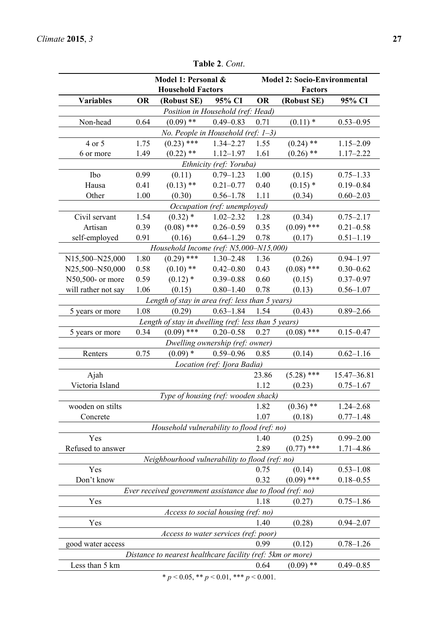|                                                                                                                    | Model 1: Personal &<br><b>Household Factors</b> |                                                            |                                                  | <b>Model 2: Socio-Environmental</b><br><b>Factors</b> |              |               |  |  |  |
|--------------------------------------------------------------------------------------------------------------------|-------------------------------------------------|------------------------------------------------------------|--------------------------------------------------|-------------------------------------------------------|--------------|---------------|--|--|--|
| <b>Variables</b>                                                                                                   | <b>OR</b>                                       | (Robust SE)                                                | 95% CI                                           | <b>OR</b>                                             | (Robust SE)  | 95% CI        |  |  |  |
|                                                                                                                    |                                                 |                                                            | Position in Household (ref: Head)                |                                                       |              |               |  |  |  |
| Non-head                                                                                                           | 0.64                                            | $(0.09)$ **                                                | $0.49 - 0.83$                                    | 0.71                                                  | $(0.11)$ *   | $0.53 - 0.95$ |  |  |  |
| No. People in Household (ref: $1-3$ )                                                                              |                                                 |                                                            |                                                  |                                                       |              |               |  |  |  |
| 4 or 5                                                                                                             | 1.75                                            | $(0.23)$ ***                                               | $1.34 - 2.27$                                    | 1.55                                                  | $(0.24)$ **  | $1.15 - 2.09$ |  |  |  |
| 6 or more                                                                                                          | 1.49                                            | $(0.22)$ **                                                | $1.12 - 1.97$                                    | 1.61                                                  | $(0.26)$ **  | $1.17 - 2.22$ |  |  |  |
| Ethnicity (ref: Yoruba)                                                                                            |                                                 |                                                            |                                                  |                                                       |              |               |  |  |  |
| Ibo                                                                                                                | 0.99                                            | (0.11)                                                     | $0.79 - 1.23$                                    | 1.00                                                  | (0.15)       | $0.75 - 1.33$ |  |  |  |
| Hausa                                                                                                              | 0.41                                            | $(0.13)$ **                                                | $0.21 - 0.77$                                    | 0.40                                                  | $(0.15)$ *   | $0.19 - 0.84$ |  |  |  |
| Other                                                                                                              | 1.00                                            | (0.30)                                                     | $0.56 - 1.78$                                    | 1.11                                                  | (0.34)       | $0.60 - 2.03$ |  |  |  |
|                                                                                                                    |                                                 |                                                            | Occupation (ref: unemployed)                     |                                                       |              |               |  |  |  |
| Civil servant                                                                                                      | 1.54                                            | $(0.32)$ *                                                 | $1.02 - 2.32$                                    | 1.28                                                  | (0.34)       | $0.75 - 2.17$ |  |  |  |
| Artisan                                                                                                            | 0.39                                            | $(0.08)$ ***                                               | $0.26 - 0.59$                                    | 0.35                                                  | $(0.09)$ *** | $0.21 - 0.58$ |  |  |  |
| self-employed                                                                                                      | 0.91                                            | (0.16)                                                     | $0.64 - 1.29$                                    | 0.78                                                  | (0.17)       | $0.51 - 1.19$ |  |  |  |
|                                                                                                                    |                                                 | Household Income (ref: N5,000-N15,000)                     |                                                  |                                                       |              |               |  |  |  |
| N15,500-N25,000                                                                                                    | 1.80                                            | $(0.29)$ ***                                               | $1.30 - 2.48$                                    | 1.36                                                  | (0.26)       | $0.94 - 1.97$ |  |  |  |
| N25,500-N50,000                                                                                                    | 0.58                                            | $(0.10)$ **                                                | $0.42 - 0.80$                                    | 0.43                                                  | $(0.08)$ *** | $0.30 - 0.62$ |  |  |  |
| N50,500- or more                                                                                                   | 0.59                                            | $(0.12)$ *                                                 | $0.39 - 0.88$                                    | 0.60                                                  | (0.15)       | $0.37 - 0.97$ |  |  |  |
| will rather not say                                                                                                | 1.06                                            | (0.15)                                                     | $0.80 - 1.40$                                    | 0.78                                                  | (0.13)       | $0.56 - 1.07$ |  |  |  |
|                                                                                                                    |                                                 | Length of stay in area (ref: less than 5 years)            |                                                  |                                                       |              |               |  |  |  |
| 5 years or more                                                                                                    | 1.08                                            | (0.29)                                                     | $0.63 - 1.84$                                    | 1.54                                                  | (0.43)       | $0.89 - 2.66$ |  |  |  |
|                                                                                                                    |                                                 | Length of stay in dwelling (ref: less than 5 years)        |                                                  |                                                       |              |               |  |  |  |
| 5 years or more                                                                                                    | 0.34                                            | $(0.09)$ ***                                               | $0.20 - 0.58$                                    | 0.27                                                  | $(0.08)$ *** | $0.15 - 0.47$ |  |  |  |
|                                                                                                                    |                                                 |                                                            | Dwelling ownership (ref: owner)                  |                                                       |              |               |  |  |  |
| Renters                                                                                                            | 0.75                                            | $(0.09)$ *                                                 | $0.59 - 0.96$                                    | 0.85                                                  | (0.14)       | $0.62 - 1.16$ |  |  |  |
|                                                                                                                    |                                                 |                                                            | Location (ref: Ijora Badia)                      |                                                       |              |               |  |  |  |
| Ajah                                                                                                               |                                                 |                                                            |                                                  | 23.86                                                 | $(5.28)$ *** | 15.47-36.81   |  |  |  |
| Victoria Island                                                                                                    |                                                 |                                                            |                                                  | 1.12                                                  | (0.23)       | $0.75 - 1.67$ |  |  |  |
|                                                                                                                    |                                                 | Type of housing (ref: wooden shack)                        |                                                  |                                                       |              |               |  |  |  |
| wooden on stilts                                                                                                   |                                                 |                                                            |                                                  | 1.82                                                  | $(0.36)$ **  | $1.24 - 2.68$ |  |  |  |
| Concrete                                                                                                           |                                                 |                                                            |                                                  | 1.07                                                  | (0.18)       | $0.77 - 1.48$ |  |  |  |
|                                                                                                                    |                                                 | Household vulnerability to flood (ref: no)                 |                                                  |                                                       |              |               |  |  |  |
| Yes                                                                                                                |                                                 |                                                            |                                                  | 1.40                                                  | (0.25)       | $0.99 - 2.00$ |  |  |  |
| Refused to answer                                                                                                  |                                                 |                                                            |                                                  | 2.89                                                  | $(0.77)$ *** | 1.71-4.86     |  |  |  |
|                                                                                                                    |                                                 | Neighbourhood vulnerability to flood (ref: no)             |                                                  |                                                       |              |               |  |  |  |
| Yes                                                                                                                |                                                 |                                                            |                                                  | 0.75                                                  | (0.14)       | $0.53 - 1.08$ |  |  |  |
| Don't know                                                                                                         |                                                 |                                                            |                                                  | 0.32                                                  | $(0.09)$ *** | $0.18 - 0.55$ |  |  |  |
|                                                                                                                    |                                                 | Ever received government assistance due to flood (ref: no) |                                                  |                                                       |              |               |  |  |  |
| Yes                                                                                                                |                                                 |                                                            |                                                  | 1.18                                                  | (0.27)       | $0.75 - 1.86$ |  |  |  |
|                                                                                                                    |                                                 |                                                            | Access to social housing (ref: no)               |                                                       |              |               |  |  |  |
| Yes                                                                                                                |                                                 |                                                            |                                                  | 1.40                                                  | (0.28)       | $0.94 - 2.07$ |  |  |  |
|                                                                                                                    |                                                 |                                                            | <i>Access to water services (ref: poor)</i>      |                                                       |              |               |  |  |  |
| 0.99<br>good water access<br>(0.12)<br>$0.78 - 1.26$<br>Distance to nearest healthcare facility (ref: 5km or more) |                                                 |                                                            |                                                  |                                                       |              |               |  |  |  |
|                                                                                                                    |                                                 |                                                            |                                                  |                                                       |              |               |  |  |  |
| Less than 5 km                                                                                                     |                                                 |                                                            |                                                  | 0.64                                                  | $(0.09)$ **  | $0.49 - 0.85$ |  |  |  |
|                                                                                                                    |                                                 |                                                            | * $p < 0.05$ , ** $p < 0.01$ , *** $p < 0.001$ . |                                                       |              |               |  |  |  |

**Table 2**. *Cont*.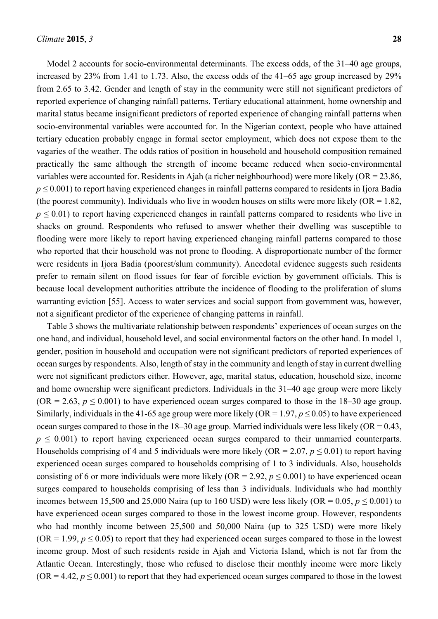Model 2 accounts for socio-environmental determinants. The excess odds, of the 31–40 age groups, increased by 23% from 1.41 to 1.73. Also, the excess odds of the 41–65 age group increased by 29% from 2.65 to 3.42. Gender and length of stay in the community were still not significant predictors of reported experience of changing rainfall patterns. Tertiary educational attainment, home ownership and marital status became insignificant predictors of reported experience of changing rainfall patterns when socio-environmental variables were accounted for. In the Nigerian context, people who have attained tertiary education probably engage in formal sector employment, which does not expose them to the vagaries of the weather. The odds ratios of position in household and household composition remained practically the same although the strength of income became reduced when socio-environmental variables were accounted for. Residents in Ajah (a richer neighbourhood) were more likely (OR = 23.86,  $p \leq 0.001$ ) to report having experienced changes in rainfall patterns compared to residents in Ijora Badia (the poorest community). Individuals who live in wooden houses on stilts were more likely  $(OR = 1.82)$ ,  $p \leq 0.01$ ) to report having experienced changes in rainfall patterns compared to residents who live in shacks on ground. Respondents who refused to answer whether their dwelling was susceptible to flooding were more likely to report having experienced changing rainfall patterns compared to those who reported that their household was not prone to flooding. A disproportionate number of the former were residents in Ijora Badia (poorest/slum community). Anecdotal evidence suggests such residents prefer to remain silent on flood issues for fear of forcible eviction by government officials. This is because local development authorities attribute the incidence of flooding to the proliferation of slums warranting eviction [55]. Access to water services and social support from government was, however, not a significant predictor of the experience of changing patterns in rainfall.

Table 3 shows the multivariate relationship between respondents' experiences of ocean surges on the one hand, and individual, household level, and social environmental factors on the other hand. In model 1, gender, position in household and occupation were not significant predictors of reported experiences of ocean surges by respondents. Also, length of stay in the community and length of stay in current dwelling were not significant predictors either. However, age, marital status, education, household size, income and home ownership were significant predictors. Individuals in the 31–40 age group were more likely (OR = 2.63,  $p \le 0.001$ ) to have experienced ocean surges compared to those in the 18–30 age group. Similarly, individuals in the 41-65 age group were more likely ( $OR = 1.97$ ,  $p \le 0.05$ ) to have experienced ocean surges compared to those in the  $18-30$  age group. Married individuals were less likely (OR =  $0.43$ ,  $p \leq 0.001$ ) to report having experienced ocean surges compared to their unmarried counterparts. Households comprising of 4 and 5 individuals were more likely ( $OR = 2.07$ ,  $p \le 0.01$ ) to report having experienced ocean surges compared to households comprising of 1 to 3 individuals. Also, households consisting of 6 or more individuals were more likely (OR = 2.92,  $p \le 0.001$ ) to have experienced ocean surges compared to households comprising of less than 3 individuals. Individuals who had monthly incomes between 15,500 and 25,000 Naira (up to 160 USD) were less likely (OR =  $0.05$ ,  $p \le 0.001$ ) to have experienced ocean surges compared to those in the lowest income group. However, respondents who had monthly income between 25,500 and 50,000 Naira (up to 325 USD) were more likely (OR = 1.99,  $p \le 0.05$ ) to report that they had experienced ocean surges compared to those in the lowest income group. Most of such residents reside in Ajah and Victoria Island, which is not far from the Atlantic Ocean. Interestingly, those who refused to disclose their monthly income were more likely  $(OR = 4.42, p \le 0.001)$  to report that they had experienced ocean surges compared to those in the lowest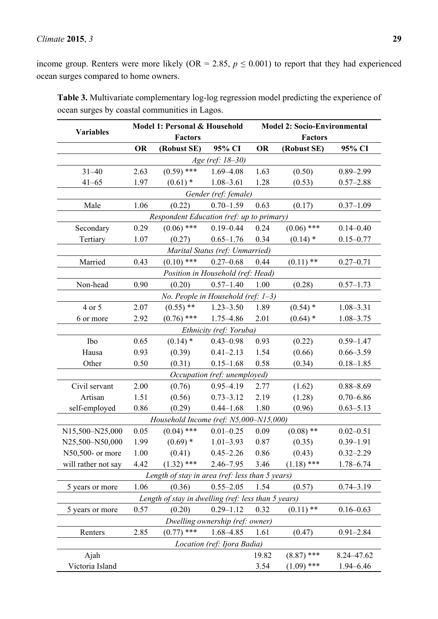income group. Renters were more likely (OR = 2.85,  $p \le 0.001$ ) to report that they had experienced ocean surges compared to home owners.

| <b>Variables</b>     | Model 1: Personal & Household<br><b>Factors</b> |                                                     | <b>Model 2: Socio-Environmental</b><br><b>Factors</b> |           |              |               |  |  |  |  |
|----------------------|-------------------------------------------------|-----------------------------------------------------|-------------------------------------------------------|-----------|--------------|---------------|--|--|--|--|
|                      | <b>OR</b>                                       | (Robust SE)                                         | 95% CI                                                | <b>OR</b> | (Robust SE)  | 95% CI        |  |  |  |  |
| Age (ref: 18–30)     |                                                 |                                                     |                                                       |           |              |               |  |  |  |  |
| $31 - 40$            | 2.63                                            | $(0.59)$ ***                                        | $1.69 - 4.08$                                         | 1.63      | (0.50)       | $0.89 - 2.99$ |  |  |  |  |
| $41 - 65$            | 1.97                                            | $(0.61)$ *                                          | $1.08 - 3.61$                                         | 1.28      | (0.53)       | $0.57 - 2.88$ |  |  |  |  |
| Gender (ref: female) |                                                 |                                                     |                                                       |           |              |               |  |  |  |  |
| Male                 | 1.06                                            | (0.22)                                              | $0.70 - 1.59$                                         | 0.63      | (0.17)       | $0.37 - 1.09$ |  |  |  |  |
|                      | Respondent Education (ref: up to primary)       |                                                     |                                                       |           |              |               |  |  |  |  |
| Secondary            | 0.29                                            | $(0.06)$ ***                                        | $0.19 - 0.44$                                         | 0.24      | $(0.06)$ *** | $0.14 - 0.40$ |  |  |  |  |
| Tertiary             | 1.07                                            | (0.27)                                              | $0.65 - 1.76$                                         | 0.34      | $(0.14)$ *   | $0.15 - 0.77$ |  |  |  |  |
|                      |                                                 |                                                     | Marital Status (ref: Unmarried)                       |           |              |               |  |  |  |  |
| Married              | 0.43                                            | $(0.10)$ ***                                        | $0.27 - 0.68$                                         | 0.44      | $(0.11)$ **  | $0.27 - 0.71$ |  |  |  |  |
|                      |                                                 | Position in Household (ref: Head)                   |                                                       |           |              |               |  |  |  |  |
| Non-head             | 0.90                                            | (0.20)                                              | $0.57 - 1.40$                                         | 1.00      | (0.28)       | $0.57 - 1.73$ |  |  |  |  |
|                      |                                                 | No. People in Household (ref: $1-3$ )               |                                                       |           |              |               |  |  |  |  |
| 4 or 5               | 2.07                                            | $(0.55)$ **                                         | $1.23 - 3.50$                                         | 1.89      | $(0.54)$ *   | $1.08 - 3.31$ |  |  |  |  |
| 6 or more            | 2.92                                            | $(0.76)$ ***                                        | 1.75-4.86                                             | 2.01      | $(0.64)$ *   | $1.08 - 3.75$ |  |  |  |  |
|                      |                                                 |                                                     | Ethnicity (ref: Yoruba)                               |           |              |               |  |  |  |  |
| Ibo                  | 0.65                                            | $(0.14)$ *                                          | $0.43 - 0.98$                                         | 0.93      | (0.22)       | $0.59 - 1.47$ |  |  |  |  |
| Hausa                | 0.93                                            | (0.39)                                              | $0.41 - 2.13$                                         | 1.54      | (0.66)       | $0.66 - 3.59$ |  |  |  |  |
| Other                | 0.50                                            | (0.31)                                              | $0.15 - 1.68$                                         | 0.58      | (0.34)       | $0.18 - 1.85$ |  |  |  |  |
|                      |                                                 |                                                     | Occupation (ref: unemployed)                          |           |              |               |  |  |  |  |
| Civil servant        | 2.00                                            | (0.76)                                              | $0.95 - 4.19$                                         | 2.77      | (1.62)       | $0.88 - 8.69$ |  |  |  |  |
| Artisan              | 1.51                                            | (0.56)                                              | $0.73 - 3.12$                                         | 2.19      | (1.28)       | $0.70 - 6.86$ |  |  |  |  |
| self-employed        | 0.86                                            | (0.29)                                              | $0.44 - 1.68$                                         | 1.80      | (0.96)       | $0.63 - 5.13$ |  |  |  |  |
|                      |                                                 | Household Income (ref: N5,000-N15,000)              |                                                       |           |              |               |  |  |  |  |
| N15,500-N25,000      | 0.05                                            | $(0.04)$ ***                                        | $0.01 - 0.25$                                         | 0.09      | $(0.08)$ **  | $0.02 - 0.51$ |  |  |  |  |
| N25,500-N50,000      | 1.99                                            | $(0.69)$ *                                          | $1.01 - 3.93$                                         | 0.87      | (0.35)       | $0.39 - 1.91$ |  |  |  |  |
| N50,500- or more     | 1.00                                            | (0.41)                                              | $0.45 - 2.26$                                         | 0.86      | (0.43)       | $0.32 - 2.29$ |  |  |  |  |
| will rather not say  | 4.42                                            | $(1.32)$ ***                                        | $2.46 - 7.95$                                         | 3.46      | $(1.18)$ *** | 1.78-6.74     |  |  |  |  |
|                      |                                                 | Length of stay in area (ref: less than 5 years)     |                                                       |           |              |               |  |  |  |  |
| 5 years or more      | 1.06                                            | (0.36)                                              | $0.55 - 2.05$                                         | 1.54      | (0.57)       | $0.74 - 3.19$ |  |  |  |  |
|                      |                                                 | Length of stay in dwelling (ref: less than 5 years) |                                                       |           |              |               |  |  |  |  |
| 5 years or more      | 0.57                                            | (0.20)                                              | $0.29 - 1.12$                                         | 0.32      | $(0.11)$ **  | $0.16 - 0.63$ |  |  |  |  |
|                      |                                                 |                                                     | Dwelling ownership (ref: owner)                       |           |              |               |  |  |  |  |
| Renters              | 2.85                                            | $(0.77)$ ***                                        | 1.68-4.85                                             | 1.61      | (0.47)       | $0.91 - 2.84$ |  |  |  |  |
|                      |                                                 |                                                     | Location (ref: Ijora Badia)                           |           |              |               |  |  |  |  |
| Ajah                 |                                                 |                                                     |                                                       | 19.82     | $(8.87)$ *** | 8.24-47.62    |  |  |  |  |
| Victoria Island      |                                                 |                                                     |                                                       | 3.54      | $(1.09)$ *** | 1.94-6.46     |  |  |  |  |

**Table 3.** Multivariate complementary log-log regression model predicting the experience of ocean surges by coastal communities in Lagos.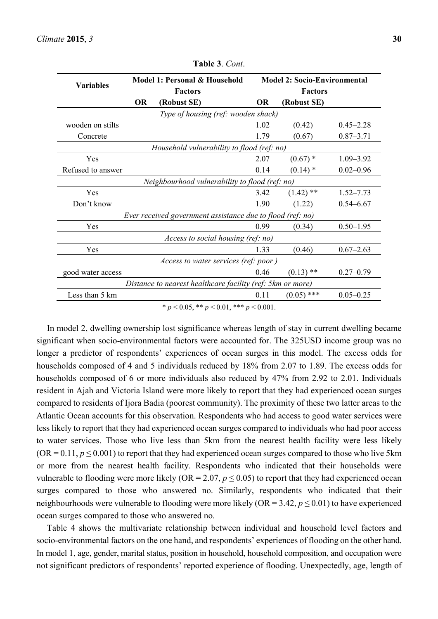| <b>Variables</b>                                           |           | Model 1: Personal & Household<br><b>Factors</b>            | <b>Model 2: Socio-Environmental</b><br><b>Factors</b> |              |               |  |  |
|------------------------------------------------------------|-----------|------------------------------------------------------------|-------------------------------------------------------|--------------|---------------|--|--|
|                                                            | <b>OR</b> | (Robust SE)                                                | <b>OR</b>                                             | (Robust SE)  |               |  |  |
|                                                            |           | Type of housing (ref: wooden shack)                        |                                                       |              |               |  |  |
| wooden on stilts                                           |           |                                                            | 1.02                                                  | (0.42)       | $0.45 - 2.28$ |  |  |
| Concrete                                                   |           |                                                            | 1.79                                                  | (0.67)       | $0.87 - 3.71$ |  |  |
|                                                            |           | Household vulnerability to flood (ref: no)                 |                                                       |              |               |  |  |
| Yes                                                        |           |                                                            | 2.07                                                  | $(0.67)$ *   | $1.09 - 3.92$ |  |  |
| Refused to answer                                          |           |                                                            | 0.14                                                  | $(0.14)$ *   | $0.02 - 0.96$ |  |  |
| Neighbourhood vulnerability to flood (ref: no)             |           |                                                            |                                                       |              |               |  |  |
| Yes                                                        |           |                                                            | 3.42                                                  | $(1.42)$ **  | $1.52 - 7.73$ |  |  |
| Don't know                                                 |           |                                                            | 1.90                                                  | (1.22)       | $0.54 - 6.67$ |  |  |
|                                                            |           | Ever received government assistance due to flood (ref: no) |                                                       |              |               |  |  |
| Yes                                                        |           |                                                            | 0.99                                                  | (0.34)       | $0.50 - 1.95$ |  |  |
|                                                            |           | Access to social housing (ref: no)                         |                                                       |              |               |  |  |
| Yes                                                        |           |                                                            | 1.33                                                  | (0.46)       | $0.67 - 2.63$ |  |  |
|                                                            |           | Access to water services (ref: poor)                       |                                                       |              |               |  |  |
| good water access                                          |           |                                                            | 0.46                                                  | $(0.13)$ **  | $0.27 - 0.79$ |  |  |
| Distance to nearest healthcare facility (ref: 5km or more) |           |                                                            |                                                       |              |               |  |  |
| Less than 5 km                                             |           |                                                            | 0.11                                                  | $(0.05)$ *** | $0.05 - 0.25$ |  |  |
|                                                            |           | * $p < 0.05$ , ** $p < 0.01$ , *** $p < 0.001$ .           |                                                       |              |               |  |  |

**Table 3**. *Cont*.

In model 2, dwelling ownership lost significance whereas length of stay in current dwelling became significant when socio-environmental factors were accounted for. The 325USD income group was no longer a predictor of respondents' experiences of ocean surges in this model. The excess odds for households composed of 4 and 5 individuals reduced by 18% from 2.07 to 1.89. The excess odds for households composed of 6 or more individuals also reduced by 47% from 2.92 to 2.01. Individuals resident in Ajah and Victoria Island were more likely to report that they had experienced ocean surges compared to residents of Ijora Badia (poorest community). The proximity of these two latter areas to the Atlantic Ocean accounts for this observation. Respondents who had access to good water services were less likely to report that they had experienced ocean surges compared to individuals who had poor access to water services. Those who live less than 5km from the nearest health facility were less likely  $(OR = 0.11, p \le 0.001)$  to report that they had experienced ocean surges compared to those who live 5km or more from the nearest health facility. Respondents who indicated that their households were vulnerable to flooding were more likely ( $OR = 2.07$ ,  $p \le 0.05$ ) to report that they had experienced ocean surges compared to those who answered no. Similarly, respondents who indicated that their neighbourhoods were vulnerable to flooding were more likely  $(OR = 3.42, p \le 0.01)$  to have experienced ocean surges compared to those who answered no.

Table 4 shows the multivariate relationship between individual and household level factors and socio-environmental factors on the one hand, and respondents' experiences of flooding on the other hand. In model 1, age, gender, marital status, position in household, household composition, and occupation were not significant predictors of respondents' reported experience of flooding. Unexpectedly, age, length of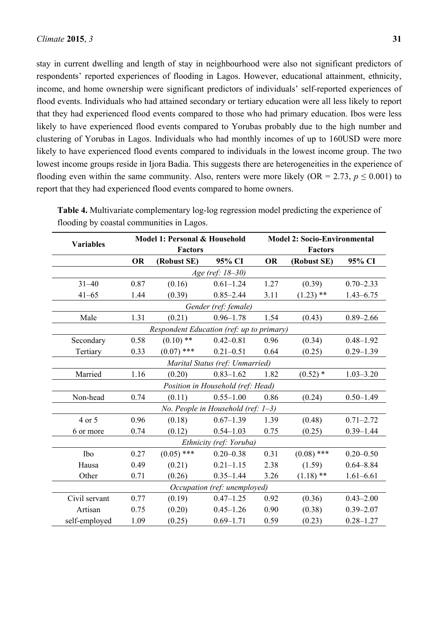stay in current dwelling and length of stay in neighbourhood were also not significant predictors of respondents' reported experiences of flooding in Lagos. However, educational attainment, ethnicity, income, and home ownership were significant predictors of individuals' self-reported experiences of flood events. Individuals who had attained secondary or tertiary education were all less likely to report that they had experienced flood events compared to those who had primary education. Ibos were less likely to have experienced flood events compared to Yorubas probably due to the high number and clustering of Yorubas in Lagos. Individuals who had monthly incomes of up to 160USD were more likely to have experienced flood events compared to individuals in the lowest income group. The two lowest income groups reside in Ijora Badia. This suggests there are heterogeneities in the experience of flooding even within the same community. Also, renters were more likely ( $OR = 2.73$ ,  $p \le 0.001$ ) to report that they had experienced flood events compared to home owners.

|                              | Model 1: Personal & Household   |                                           | <b>Model 2: Socio-Environmental</b>   |           |                |               |  |  |  |
|------------------------------|---------------------------------|-------------------------------------------|---------------------------------------|-----------|----------------|---------------|--|--|--|
| <b>Variables</b>             |                                 | <b>Factors</b>                            |                                       |           | <b>Factors</b> |               |  |  |  |
|                              | <b>OR</b>                       | (Robust SE)                               | 95% CI                                | <b>OR</b> | (Robust SE)    | 95% CI        |  |  |  |
| Age (ref: 18-30)             |                                 |                                           |                                       |           |                |               |  |  |  |
| $31 - 40$                    | 0.87                            | (0.16)                                    | $0.61 - 1.24$                         | 1.27      | (0.39)         | $0.70 - 2.33$ |  |  |  |
| $41 - 65$                    | 1.44                            | (0.39)                                    | $0.85 - 2.44$                         | 3.11      | $(1.23)$ **    | $1.43 - 6.75$ |  |  |  |
|                              |                                 |                                           | Gender (ref: female)                  |           |                |               |  |  |  |
| Male                         | 1.31                            | (0.21)                                    | $0.96 - 1.78$                         | 1.54      | (0.43)         | $0.89 - 2.66$ |  |  |  |
|                              |                                 | Respondent Education (ref: up to primary) |                                       |           |                |               |  |  |  |
| Secondary                    | 0.58                            | $(0.10)$ **                               | $0.42 - 0.81$                         | 0.96      | (0.34)         | $0.48 - 1.92$ |  |  |  |
| Tertiary                     | 0.33                            | $(0.07)$ ***                              | $0.21 - 0.51$                         | 0.64      | (0.25)         | $0.29 - 1.39$ |  |  |  |
|                              | Marital Status (ref: Unmarried) |                                           |                                       |           |                |               |  |  |  |
| Married                      | 1.16                            | (0.20)                                    | $0.83 - 1.62$                         | 1.82      | $(0.52)$ *     | $1.03 - 3.20$ |  |  |  |
|                              |                                 |                                           | Position in Household (ref: Head)     |           |                |               |  |  |  |
| Non-head                     | 0.74                            | (0.11)                                    | $0.55 - 1.00$                         | 0.86      | (0.24)         | $0.50 - 1.49$ |  |  |  |
|                              |                                 |                                           | No. People in Household (ref: $1-3$ ) |           |                |               |  |  |  |
| 4 or 5                       | 0.96                            | (0.18)                                    | $0.67 - 1.39$                         | 1.39      | (0.48)         | $0.71 - 2.72$ |  |  |  |
| 6 or more                    | 0.74                            | (0.12)                                    | $0.54 - 1.03$                         | 0.75      | (0.25)         | $0.39 - 1.44$ |  |  |  |
|                              |                                 |                                           | Ethnicity (ref: Yoruba)               |           |                |               |  |  |  |
| Ibo                          | 0.27                            | $(0.05)$ ***                              | $0.20 - 0.38$                         | 0.31      | $(0.08)$ ***   | $0.20 - 0.50$ |  |  |  |
| Hausa                        | 0.49                            | (0.21)                                    | $0.21 - 1.15$                         | 2.38      | (1.59)         | $0.64 - 8.84$ |  |  |  |
| Other                        | 0.71                            | (0.26)                                    | $0.35 - 1.44$                         | 3.26      | $(1.18)$ **    | $1.61 - 6.61$ |  |  |  |
| Occupation (ref: unemployed) |                                 |                                           |                                       |           |                |               |  |  |  |
| Civil servant                | 0.77                            | (0.19)                                    | $0.47 - 1.25$                         | 0.92      | (0.36)         | $0.43 - 2.00$ |  |  |  |
| Artisan                      | 0.75                            | (0.20)                                    | $0.45 - 1.26$                         | 0.90      | (0.38)         | $0.39 - 2.07$ |  |  |  |
| self-employed                | 1.09                            | (0.25)                                    | $0.69 - 1.71$                         | 0.59      | (0.23)         | $0.28 - 1.27$ |  |  |  |

**Table 4.** Multivariate complementary log-log regression model predicting the experience of flooding by coastal communities in Lagos.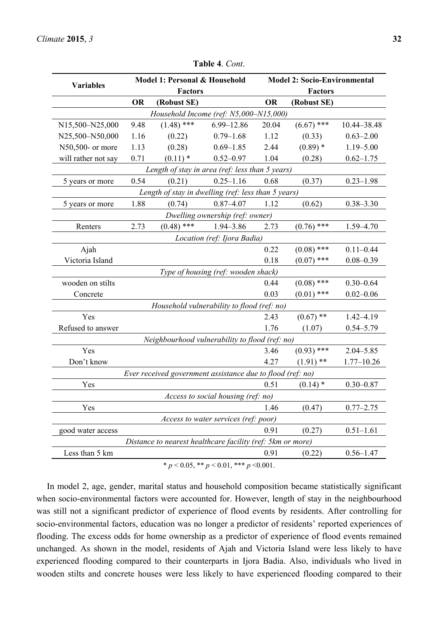| <b>Variables</b>                       | Model 1: Personal & Household |                                                            | <b>Model 2: Socio-Environmental</b>  |           |                |                |  |  |
|----------------------------------------|-------------------------------|------------------------------------------------------------|--------------------------------------|-----------|----------------|----------------|--|--|
|                                        |                               | <b>Factors</b>                                             |                                      |           | <b>Factors</b> |                |  |  |
|                                        | <b>OR</b>                     | (Robust SE)                                                |                                      | <b>OR</b> | (Robust SE)    |                |  |  |
| Household Income (ref: N5,000-N15,000) |                               |                                                            |                                      |           |                |                |  |  |
| N15,500-N25,000                        | 9.48                          | $(1.48)$ ***                                               | 6.99-12.86                           | 20.04     | $(6.67)$ ***   | 10.44-38.48    |  |  |
| N25,500-N50,000                        | 1.16                          | (0.22)                                                     | $0.79 - 1.68$                        | 1.12      | (0.33)         | $0.63 - 2.00$  |  |  |
| N50,500- or more                       | 1.13                          | (0.28)                                                     | $0.69 - 1.85$                        | 2.44      | $(0.89)$ *     | $1.19 - 5.00$  |  |  |
| will rather not say                    | 0.71                          | $(0.11)$ *                                                 | $0.52 - 0.97$                        | 1.04      | (0.28)         | $0.62 - 1.75$  |  |  |
|                                        |                               | Length of stay in area (ref: less than 5 years)            |                                      |           |                |                |  |  |
| 5 years or more                        | 0.54                          | (0.21)                                                     | $0.25 - 1.16$                        | 0.68      | (0.37)         | $0.23 - 1.98$  |  |  |
|                                        |                               | Length of stay in dwelling (ref: less than 5 years)        |                                      |           |                |                |  |  |
| 5 years or more                        | 1.88                          | (0.74)                                                     | $0.87 - 4.07$                        | 1.12      | (0.62)         | $0.38 - 3.30$  |  |  |
|                                        |                               |                                                            | Dwelling ownership (ref: owner)      |           |                |                |  |  |
| Renters                                | 2.73                          | $(0.48)$ ***                                               | 1.94-3.86                            | 2.73      | $(0.76)$ ***   | 1.59-4.70      |  |  |
|                                        |                               |                                                            | Location (ref: Ijora Badia)          |           |                |                |  |  |
| Ajah                                   |                               |                                                            |                                      | 0.22      | $(0.08)$ ***   | $0.11 - 0.44$  |  |  |
| Victoria Island                        |                               |                                                            |                                      | 0.18      | $(0.07)$ ***   | $0.08 - 0.39$  |  |  |
|                                        |                               |                                                            | Type of housing (ref: wooden shack)  |           |                |                |  |  |
| wooden on stilts                       |                               |                                                            |                                      | 0.44      | $(0.08)$ ***   | $0.30 - 0.64$  |  |  |
| Concrete                               |                               |                                                            |                                      | 0.03      | $(0.01)$ ***   | $0.02 - 0.06$  |  |  |
|                                        |                               | Household vulnerability to flood (ref: no)                 |                                      |           |                |                |  |  |
| Yes                                    |                               |                                                            |                                      | 2.43      | $(0.67)$ **    | $1.42 - 4.19$  |  |  |
| Refused to answer                      |                               |                                                            |                                      | 1.76      | (1.07)         | $0.54 - 5.79$  |  |  |
|                                        |                               | Neighbourhood vulnerability to flood (ref: no)             |                                      |           |                |                |  |  |
| Yes                                    |                               |                                                            |                                      | 3.46      | $(0.93)$ ***   | $2.04 - 5.85$  |  |  |
| Don't know                             |                               |                                                            |                                      | 4.27      | $(1.91)$ **    | $1.77 - 10.26$ |  |  |
|                                        |                               | Ever received government assistance due to flood (ref: no) |                                      |           |                |                |  |  |
| Yes                                    |                               |                                                            |                                      | 0.51      | $(0.14)$ *     | $0.30 - 0.87$  |  |  |
|                                        |                               |                                                            | Access to social housing (ref: no)   |           |                |                |  |  |
| Yes                                    |                               |                                                            |                                      | 1.46      | (0.47)         | $0.77 - 2.75$  |  |  |
|                                        |                               |                                                            | Access to water services (ref: poor) |           |                |                |  |  |
| good water access                      |                               |                                                            |                                      | 0.91      | (0.27)         | $0.51 - 1.61$  |  |  |
|                                        |                               | Distance to nearest healthcare facility (ref: 5km or more) |                                      |           |                |                |  |  |
| Less than 5 km                         |                               |                                                            |                                      | 0.91      | (0.22)         | $0.56 - 1.47$  |  |  |
|                                        |                               |                                                            |                                      |           |                |                |  |  |

**Table 4**. *Cont*.

 $* p < 0.05, ** p < 0.01, ** p < 0.001.$ 

In model 2, age, gender, marital status and household composition became statistically significant when socio-environmental factors were accounted for. However, length of stay in the neighbourhood was still not a significant predictor of experience of flood events by residents. After controlling for socio-environmental factors, education was no longer a predictor of residents' reported experiences of flooding. The excess odds for home ownership as a predictor of experience of flood events remained unchanged. As shown in the model, residents of Ajah and Victoria Island were less likely to have experienced flooding compared to their counterparts in Ijora Badia. Also, individuals who lived in wooden stilts and concrete houses were less likely to have experienced flooding compared to their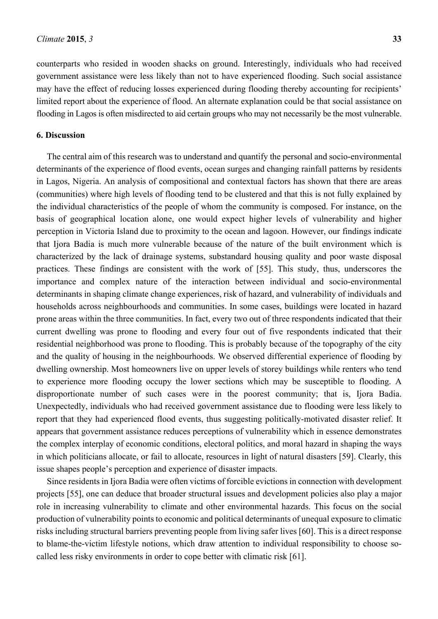counterparts who resided in wooden shacks on ground. Interestingly, individuals who had received government assistance were less likely than not to have experienced flooding. Such social assistance may have the effect of reducing losses experienced during flooding thereby accounting for recipients' limited report about the experience of flood. An alternate explanation could be that social assistance on flooding in Lagos is often misdirected to aid certain groups who may not necessarily be the most vulnerable.

#### **6. Discussion**

The central aim of this research was to understand and quantify the personal and socio-environmental determinants of the experience of flood events, ocean surges and changing rainfall patterns by residents in Lagos, Nigeria. An analysis of compositional and contextual factors has shown that there are areas (communities) where high levels of flooding tend to be clustered and that this is not fully explained by the individual characteristics of the people of whom the community is composed. For instance, on the basis of geographical location alone, one would expect higher levels of vulnerability and higher perception in Victoria Island due to proximity to the ocean and lagoon. However, our findings indicate that Ijora Badia is much more vulnerable because of the nature of the built environment which is characterized by the lack of drainage systems, substandard housing quality and poor waste disposal practices. These findings are consistent with the work of [55]. This study, thus, underscores the importance and complex nature of the interaction between individual and socio-environmental determinants in shaping climate change experiences, risk of hazard, and vulnerability of individuals and households across neighbourhoods and communities. In some cases, buildings were located in hazard prone areas within the three communities. In fact, every two out of three respondents indicated that their current dwelling was prone to flooding and every four out of five respondents indicated that their residential neighborhood was prone to flooding. This is probably because of the topography of the city and the quality of housing in the neighbourhoods. We observed differential experience of flooding by dwelling ownership. Most homeowners live on upper levels of storey buildings while renters who tend to experience more flooding occupy the lower sections which may be susceptible to flooding. A disproportionate number of such cases were in the poorest community; that is, Ijora Badia. Unexpectedly, individuals who had received government assistance due to flooding were less likely to report that they had experienced flood events, thus suggesting politically-motivated disaster relief. It appears that government assistance reduces perceptions of vulnerability which in essence demonstrates the complex interplay of economic conditions, electoral politics, and moral hazard in shaping the ways in which politicians allocate, or fail to allocate, resources in light of natural disasters [59]. Clearly, this issue shapes people's perception and experience of disaster impacts.

Since residents in Ijora Badia were often victims of forcible evictions in connection with development projects [55], one can deduce that broader structural issues and development policies also play a major role in increasing vulnerability to climate and other environmental hazards. This focus on the social production of vulnerability points to economic and political determinants of unequal exposure to climatic risks including structural barriers preventing people from living safer lives [60]. This is a direct response to blame-the-victim lifestyle notions, which draw attention to individual responsibility to choose socalled less risky environments in order to cope better with climatic risk [61].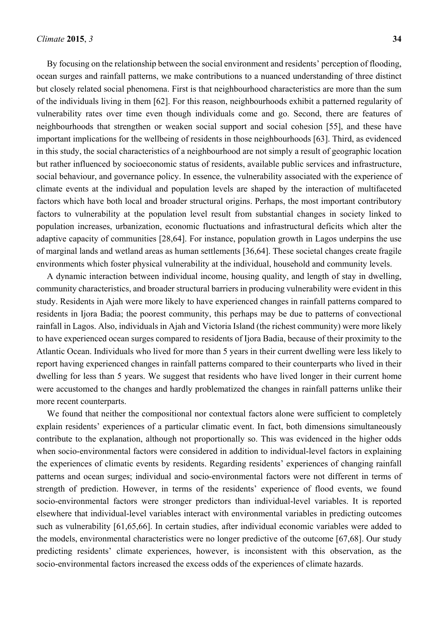By focusing on the relationship between the social environment and residents' perception of flooding, ocean surges and rainfall patterns, we make contributions to a nuanced understanding of three distinct but closely related social phenomena. First is that neighbourhood characteristics are more than the sum of the individuals living in them [62]. For this reason, neighbourhoods exhibit a patterned regularity of vulnerability rates over time even though individuals come and go. Second, there are features of neighbourhoods that strengthen or weaken social support and social cohesion [55], and these have important implications for the wellbeing of residents in those neighbourhoods [63]. Third, as evidenced in this study, the social characteristics of a neighbourhood are not simply a result of geographic location but rather influenced by socioeconomic status of residents, available public services and infrastructure, social behaviour, and governance policy. In essence, the vulnerability associated with the experience of climate events at the individual and population levels are shaped by the interaction of multifaceted factors which have both local and broader structural origins. Perhaps, the most important contributory factors to vulnerability at the population level result from substantial changes in society linked to population increases, urbanization, economic fluctuations and infrastructural deficits which alter the adaptive capacity of communities [28,64]. For instance, population growth in Lagos underpins the use of marginal lands and wetland areas as human settlements [36,64]. These societal changes create fragile environments which foster physical vulnerability at the individual, household and community levels.

A dynamic interaction between individual income, housing quality, and length of stay in dwelling, community characteristics, and broader structural barriers in producing vulnerability were evident in this study. Residents in Ajah were more likely to have experienced changes in rainfall patterns compared to residents in Ijora Badia; the poorest community, this perhaps may be due to patterns of convectional rainfall in Lagos. Also, individuals in Ajah and Victoria Island (the richest community) were more likely to have experienced ocean surges compared to residents of Ijora Badia, because of their proximity to the Atlantic Ocean. Individuals who lived for more than 5 years in their current dwelling were less likely to report having experienced changes in rainfall patterns compared to their counterparts who lived in their dwelling for less than 5 years. We suggest that residents who have lived longer in their current home were accustomed to the changes and hardly problematized the changes in rainfall patterns unlike their more recent counterparts.

We found that neither the compositional nor contextual factors alone were sufficient to completely explain residents' experiences of a particular climatic event. In fact, both dimensions simultaneously contribute to the explanation, although not proportionally so. This was evidenced in the higher odds when socio-environmental factors were considered in addition to individual-level factors in explaining the experiences of climatic events by residents. Regarding residents' experiences of changing rainfall patterns and ocean surges; individual and socio-environmental factors were not different in terms of strength of prediction. However, in terms of the residents' experience of flood events, we found socio-environmental factors were stronger predictors than individual-level variables. It is reported elsewhere that individual-level variables interact with environmental variables in predicting outcomes such as vulnerability [61,65,66]. In certain studies, after individual economic variables were added to the models, environmental characteristics were no longer predictive of the outcome [67,68]. Our study predicting residents' climate experiences, however, is inconsistent with this observation, as the socio-environmental factors increased the excess odds of the experiences of climate hazards.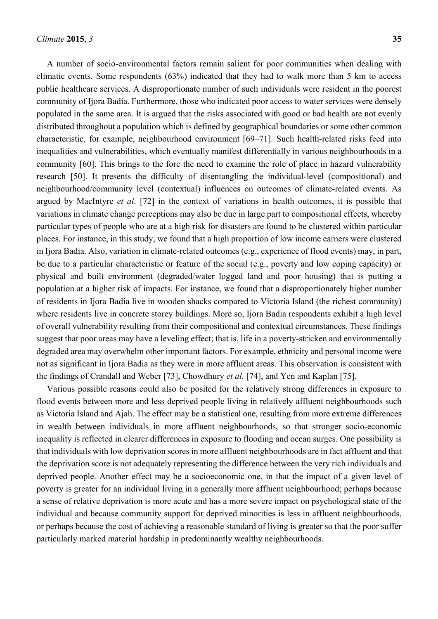A number of socio-environmental factors remain salient for poor communities when dealing with climatic events. Some respondents (63%) indicated that they had to walk more than 5 km to access public healthcare services. A disproportionate number of such individuals were resident in the poorest community of Ijora Badia. Furthermore, those who indicated poor access to water services were densely populated in the same area. It is argued that the risks associated with good or bad health are not evenly distributed throughout a population which is defined by geographical boundaries or some other common characteristic, for example, neighbourhood environment [69–71]. Such health-related risks feed into inequalities and vulnerabilities, which eventually manifest differentially in various neighbourhoods in a community [60]. This brings to the fore the need to examine the role of place in hazard vulnerability research [50]. It presents the difficulty of disentangling the individual-level (compositional) and neighbourhood/community level (contextual) influences on outcomes of climate-related events. As argued by MacIntyre *et al.* [72] in the context of variations in health outcomes, it is possible that variations in climate change perceptions may also be due in large part to compositional effects, whereby particular types of people who are at a high risk for disasters are found to be clustered within particular places. For instance, in this study, we found that a high proportion of low income earners were clustered in Ijora Badia. Also, variation in climate-related outcomes (e.g., experience of flood events) may, in part, be due to a particular characteristic or feature of the social (e.g., poverty and low coping capacity) or physical and built environment (degraded/water logged land and poor housing) that is putting a population at a higher risk of impacts. For instance, we found that a disproportionately higher number of residents in Ijora Badia live in wooden shacks compared to Victoria Island (the richest community) where residents live in concrete storey buildings. More so, Ijora Badia respondents exhibit a high level of overall vulnerability resulting from their compositional and contextual circumstances. These findings suggest that poor areas may have a leveling effect; that is, life in a poverty-stricken and environmentally degraded area may overwhelm other important factors. For example, ethnicity and personal income were not as significant in Ijora Badia as they were in more affluent areas. This observation is consistent with the findings of Crandall and Weber [73], Chowdhury *et al.* [74], and Yen and Kaplan [75].

Various possible reasons could also be posited for the relatively strong differences in exposure to flood events between more and less deprived people living in relatively affluent neighbourhoods such as Victoria Island and Ajah. The effect may be a statistical one, resulting from more extreme differences in wealth between individuals in more affluent neighbourhoods, so that stronger socio-economic inequality is reflected in clearer differences in exposure to flooding and ocean surges. One possibility is that individuals with low deprivation scores in more affluent neighbourhoods are in fact affluent and that the deprivation score is not adequately representing the difference between the very rich individuals and deprived people. Another effect may be a socioeconomic one, in that the impact of a given level of poverty is greater for an individual living in a generally more affluent neighbourhood; perhaps because a sense of relative deprivation is more acute and has a more severe impact on psychological state of the individual and because community support for deprived minorities is less in affluent neighbourhoods, or perhaps because the cost of achieving a reasonable standard of living is greater so that the poor suffer particularly marked material hardship in predominantly wealthy neighbourhoods.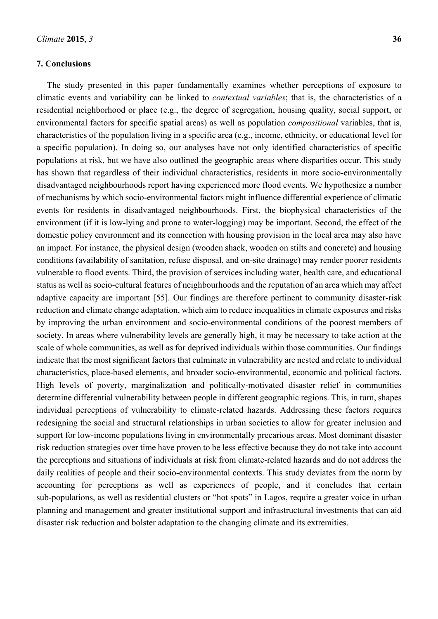#### **7. Conclusions**

The study presented in this paper fundamentally examines whether perceptions of exposure to climatic events and variability can be linked to *contextual variables*; that is, the characteristics of a residential neighborhood or place (e.g., the degree of segregation, housing quality, social support, or environmental factors for specific spatial areas) as well as population *compositional* variables, that is, characteristics of the population living in a specific area (e.g., income, ethnicity, or educational level for a specific population). In doing so, our analyses have not only identified characteristics of specific populations at risk, but we have also outlined the geographic areas where disparities occur. This study has shown that regardless of their individual characteristics, residents in more socio-environmentally disadvantaged neighbourhoods report having experienced more flood events. We hypothesize a number of mechanisms by which socio-environmental factors might influence differential experience of climatic events for residents in disadvantaged neighbourhoods. First, the biophysical characteristics of the environment (if it is low-lying and prone to water-logging) may be important. Second, the effect of the domestic policy environment and its connection with housing provision in the local area may also have an impact. For instance, the physical design (wooden shack, wooden on stilts and concrete) and housing conditions (availability of sanitation, refuse disposal, and on-site drainage) may render poorer residents vulnerable to flood events. Third, the provision of services including water, health care, and educational status as well as socio-cultural features of neighbourhoods and the reputation of an area which may affect adaptive capacity are important [55]. Our findings are therefore pertinent to community disaster-risk reduction and climate change adaptation, which aim to reduce inequalities in climate exposures and risks by improving the urban environment and socio-environmental conditions of the poorest members of society. In areas where vulnerability levels are generally high, it may be necessary to take action at the scale of whole communities, as well as for deprived individuals within those communities. Our findings indicate that the most significant factors that culminate in vulnerability are nested and relate to individual characteristics, place-based elements, and broader socio-environmental, economic and political factors. High levels of poverty, marginalization and politically-motivated disaster relief in communities determine differential vulnerability between people in different geographic regions. This, in turn, shapes individual perceptions of vulnerability to climate-related hazards. Addressing these factors requires redesigning the social and structural relationships in urban societies to allow for greater inclusion and support for low-income populations living in environmentally precarious areas. Most dominant disaster risk reduction strategies over time have proven to be less effective because they do not take into account the perceptions and situations of individuals at risk from climate-related hazards and do not address the daily realities of people and their socio-environmental contexts. This study deviates from the norm by accounting for perceptions as well as experiences of people, and it concludes that certain sub-populations, as well as residential clusters or "hot spots" in Lagos, require a greater voice in urban planning and management and greater institutional support and infrastructural investments that can aid disaster risk reduction and bolster adaptation to the changing climate and its extremities.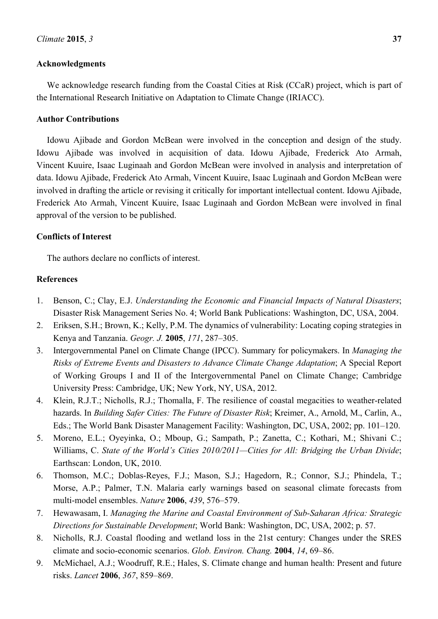#### **Acknowledgments**

We acknowledge research funding from the Coastal Cities at Risk (CCaR) project, which is part of the International Research Initiative on Adaptation to Climate Change (IRIACC).

#### **Author Contributions**

Idowu Ajibade and Gordon McBean were involved in the conception and design of the study. Idowu Ajibade was involved in acquisition of data. Idowu Ajibade, Frederick Ato Armah, Vincent Kuuire, Isaac Luginaah and Gordon McBean were involved in analysis and interpretation of data. Idowu Ajibade, Frederick Ato Armah, Vincent Kuuire, Isaac Luginaah and Gordon McBean were involved in drafting the article or revising it critically for important intellectual content. Idowu Ajibade, Frederick Ato Armah, Vincent Kuuire, Isaac Luginaah and Gordon McBean were involved in final approval of the version to be published.

#### **Conflicts of Interest**

The authors declare no conflicts of interest.

#### **References**

- 1. Benson, C.; Clay, E.J. *Understanding the Economic and Financial Impacts of Natural Disasters*; Disaster Risk Management Series No. 4; World Bank Publications: Washington, DC, USA, 2004.
- 2. Eriksen, S.H.; Brown, K.; Kelly, P.M. The dynamics of vulnerability: Locating coping strategies in Kenya and Tanzania. *Geogr. J.* **2005**, *171*, 287–305.
- 3. Intergovernmental Panel on Climate Change (IPCC). Summary for policymakers. In *Managing the Risks of Extreme Events and Disasters to Advance Climate Change Adaptation*; A Special Report of Working Groups I and II of the Intergovernmental Panel on Climate Change; Cambridge University Press: Cambridge, UK; New York, NY, USA, 2012.
- 4. Klein, R.J.T.; Nicholls, R.J.; Thomalla, F. The resilience of coastal megacities to weather-related hazards. In *Building Safer Cities: The Future of Disaster Risk*; Kreimer, A., Arnold, M., Carlin, A., Eds.; The World Bank Disaster Management Facility: Washington, DC, USA, 2002; pp. 101–120.
- 5. Moreno, E.L.; Oyeyinka, O.; Mboup, G.; Sampath, P.; Zanetta, C.; Kothari, M.; Shivani C.; Williams, C. *State of the World's Cities 2010/2011—Cities for All: Bridging the Urban Divide*; Earthscan: London, UK, 2010.
- 6. Thomson, M.C.; Doblas-Reyes, F.J.; Mason, S.J.; Hagedorn, R.; Connor, S.J.; Phindela, T.; Morse, A.P.; Palmer, T.N. Malaria early warnings based on seasonal climate forecasts from multi-model ensembles. *Nature* **2006**, *439*, 576–579.
- 7. Hewawasam, I. *Managing the Marine and Coastal Environment of Sub-Saharan Africa: Strategic Directions for Sustainable Development*; World Bank: Washington, DC, USA, 2002; p. 57.
- 8. Nicholls, R.J. Coastal flooding and wetland loss in the 21st century: Changes under the SRES climate and socio-economic scenarios. *Glob. Environ. Chang.* **2004**, *14*, 69–86.
- 9. McMichael, A.J.; Woodruff, R.E.; Hales, S. Climate change and human health: Present and future risks. *Lancet* **2006**, *367*, 859–869.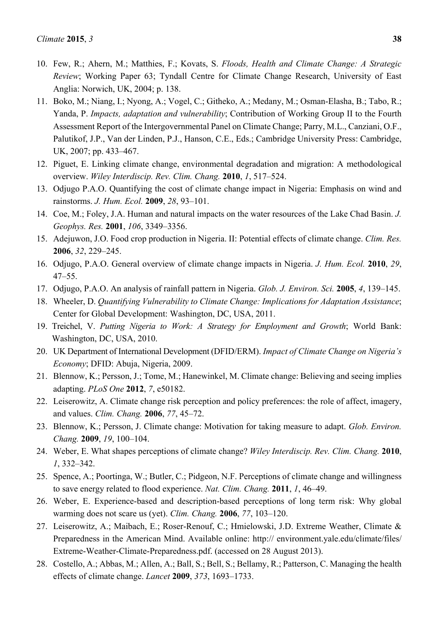- 10. Few, R.; Ahern, M.; Matthies, F.; Kovats, S. *Floods, Health and Climate Change: A Strategic Review*; Working Paper 63; Tyndall Centre for Climate Change Research, University of East Anglia: Norwich, UK, 2004; p. 138.
- 11. Boko, M.; Niang, I.; Nyong, A.; Vogel, C.; Githeko, A.; Medany, M.; Osman-Elasha, B.; Tabo, R.; Yanda, P. *Impacts, adaptation and vulnerability*; Contribution of Working Group II to the Fourth Assessment Report of the Intergovernmental Panel on Climate Change; Parry, M.L., Canziani, O.F., Palutikof, J.P., Van der Linden, P.J., Hanson, C.E., Eds.; Cambridge University Press: Cambridge, UK, 2007; pp. 433–467.
- 12. Piguet, E. Linking climate change, environmental degradation and migration: A methodological overview. *Wiley Interdiscip. Rev. Clim. Chang.* **2010**, *1*, 517–524.
- 13. Odjugo P.A.O. Quantifying the cost of climate change impact in Nigeria: Emphasis on wind and rainstorms. *J. Hum. Ecol.* **2009**, *28*, 93–101.
- 14. Coe, M.; Foley, J.A. Human and natural impacts on the water resources of the Lake Chad Basin. *J. Geophys. Res.* **2001**, *106*, 3349–3356.
- 15. Adejuwon, J.O. Food crop production in Nigeria. II: Potential effects of climate change. *Clim. Res.* **2006**, *32*, 229–245.
- 16. Odjugo, P.A.O. General overview of climate change impacts in Nigeria. *J. Hum. Ecol.* **2010**, *29*, 47–55.
- 17. Odjugo, P.A.O. An analysis of rainfall pattern in Nigeria. *Glob. J. Environ. Sci.* **2005**, *4*, 139–145.
- 18. Wheeler, D. *Quantifying Vulnerability to Climate Change: Implications for Adaptation Assistance*; Center for Global Development: Washington, DC, USA, 2011.
- 19. Treichel, V. *Putting Nigeria to Work: A Strategy for Employment and Growth*; World Bank: Washington, DC, USA, 2010.
- 20. UK Department of International Development (DFID/ERM). *Impact of Climate Change on Nigeria's Economy*; DFID: Abuja, Nigeria, 2009.
- 21. Blennow, K.; Persson, J.; Tome, M.; Hanewinkel, M. Climate change: Believing and seeing implies adapting. *PLoS One* **2012**, *7*, e50182.
- 22. Leiserowitz, A. Climate change risk perception and policy preferences: the role of affect, imagery, and values. *Clim. Chang.* **2006**, *77*, 45–72.
- 23. Blennow, K.; Persson, J. Climate change: Motivation for taking measure to adapt. *Glob. Environ. Chang.* **2009**, *19*, 100–104.
- 24. Weber, E. What shapes perceptions of climate change? *Wiley Interdiscip. Rev. Clim. Chang.* **2010**, *1*, 332–342.
- 25. Spence, A.; Poortinga, W.; Butler, C.; Pidgeon, N.F. Perceptions of climate change and willingness to save energy related to flood experience. *Nat. Clim. Chang.* **2011**, *1*, 46–49.
- 26. Weber, E. Experience-based and description-based perceptions of long term risk: Why global warming does not scare us (yet). *Clim. Chang.* **2006**, *77*, 103–120.
- 27. Leiserowitz, A.; Maibach, E.; Roser-Renouf, C.; Hmielowski, J.D. Extreme Weather, Climate & Preparedness in the American Mind. Available online: http:// environment.yale.edu/climate/files/ Extreme-Weather-Climate-Preparedness.pdf. (accessed on 28 August 2013).
- 28. Costello, A.; Abbas, M.; Allen, A.; Ball, S.; Bell, S.; Bellamy, R.; Patterson, C. Managing the health effects of climate change. *Lancet* **2009**, *373*, 1693–1733.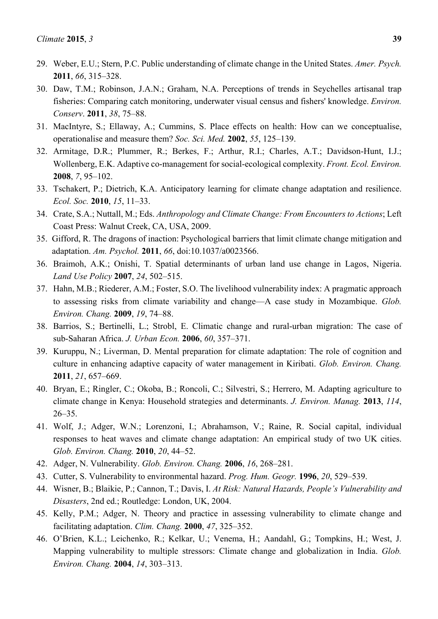- 29. Weber, E.U.; Stern, P.C. Public understanding of climate change in the United States. *Amer. Psych.*  **2011**, *66*, 315–328.
- 30. Daw, T.M.; Robinson, J.A.N.; Graham, N.A. Perceptions of trends in Seychelles artisanal trap fisheries: Comparing catch monitoring, underwater visual census and fishers' knowledge. *Environ. Conserv*. **2011**, *38*, 75–88.
- 31. MacIntyre, S.; Ellaway, A.; Cummins, S. Place effects on health: How can we conceptualise, operationalise and measure them? *Soc. Sci. Med.* **2002**, *55*, 125–139.
- 32. Armitage, D.R.; Plummer, R.; Berkes, F.; Arthur, R.I.; Charles, A.T.; Davidson-Hunt, I.J.; Wollenberg, E.K. Adaptive co-management for social-ecological complexity. *Front. Ecol. Environ.* **2008**, *7*, 95–102.
- 33. Tschakert, P.; Dietrich, K.A. Anticipatory learning for climate change adaptation and resilience. *Ecol. Soc.* **2010**, *15*, 11–33.
- 34. Crate, S.A.; Nuttall, M.; Eds. *Anthropology and Climate Change: From Encounters to Actions*; Left Coast Press: Walnut Creek, CA, USA, 2009.
- 35. Gifford, R. The dragons of inaction: Psychological barriers that limit climate change mitigation and adaptation. *Am. Psychol.* **2011**, *66*, doi:10.1037/a0023566.
- 36. Braimoh, A.K.; Onishi, T. Spatial determinants of urban land use change in Lagos, Nigeria. *Land Use Policy* **2007**, *24*, 502–515.
- 37. Hahn, M.B.; Riederer, A.M.; Foster, S.O. The livelihood vulnerability index: A pragmatic approach to assessing risks from climate variability and change—A case study in Mozambique. *Glob. Environ. Chang.* **2009**, *19*, 74–88.
- 38. Barrios, S.; Bertinelli, L.; Strobl, E. Climatic change and rural-urban migration: The case of sub-Saharan Africa. *J. Urban Econ.* **2006**, *60*, 357–371.
- 39. Kuruppu, N.; Liverman, D. Mental preparation for climate adaptation: The role of cognition and culture in enhancing adaptive capacity of water management in Kiribati. *Glob. Environ. Chang.* **2011**, *21*, 657–669.
- 40. Bryan, E.; Ringler, C.; Okoba, B.; Roncoli, C.; Silvestri, S.; Herrero, M. Adapting agriculture to climate change in Kenya: Household strategies and determinants. *J. Environ. Manag.* **2013**, *114*, 26–35.
- 41. Wolf, J.; Adger, W.N.; Lorenzoni, I.; Abrahamson, V.; Raine, R. Social capital, individual responses to heat waves and climate change adaptation: An empirical study of two UK cities. *Glob. Environ. Chang.* **2010**, *20*, 44–52.
- 42. Adger, N. Vulnerability. *Glob. Environ. Chang.* **2006**, *16*, 268–281.
- 43. Cutter, S. Vulnerability to environmental hazard. *Prog. Hum. Geogr.* **1996**, *20*, 529–539.
- 44. Wisner, B.; Blaikie, P.; Cannon, T.; Davis, I. *At Risk: Natural Hazards, People's Vulnerability and Disasters*, 2nd ed.; Routledge: London, UK, 2004.
- 45. Kelly, P.M.; Adger, N. Theory and practice in assessing vulnerability to climate change and facilitating adaptation. *Clim. Chang.* **2000**, *47*, 325–352.
- 46. O'Brien, K.L.; Leichenko, R.; Kelkar, U.; Venema, H.; Aandahl, G.; Tompkins, H.; West, J. Mapping vulnerability to multiple stressors: Climate change and globalization in India. *Glob. Environ. Chang.* **2004**, *14*, 303–313.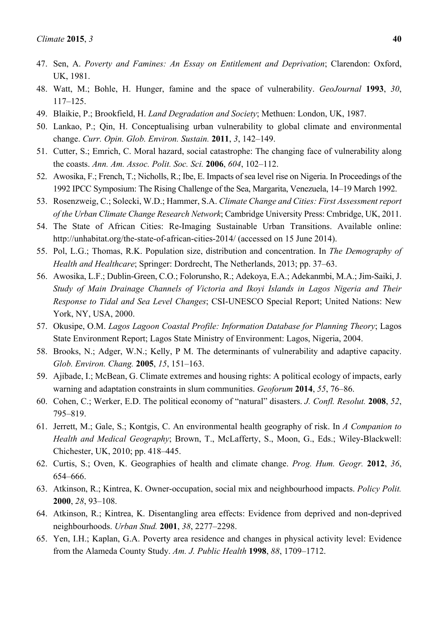- 47. Sen, A. *Poverty and Famines: An Essay on Entitlement and Deprivation*; Clarendon: Oxford, UK, 1981.
- 48. Watt, M.; Bohle, H. Hunger, famine and the space of vulnerability. *GeoJournal* **1993**, *30*, 117–125.
- 49. Blaikie, P.; Brookfield, H. *Land Degradation and Society*; Methuen: London, UK, 1987.
- 50. Lankao, P.; Qin, H. Conceptualising urban vulnerability to global climate and environmental change. *Curr. Opin. Glob. Environ. Sustain.* **2011**, *3*, 142–149.
- 51. Cutter, S.; Emrich, C. Moral hazard, social catastrophe: The changing face of vulnerability along the coasts. *Ann. Am. Assoc. Polit. Soc. Sci.* **2006**, *604*, 102–112.
- 52. Awosika, F.; French, T.; Nicholls, R.; Ibe, E. Impacts of sea level rise on Nigeria. In Proceedings of the 1992 IPCC Symposium: The Rising Challenge of the Sea, Margarita, Venezuela, 14–19 March 1992.
- 53. Rosenzweig, C.; Solecki, W.D.; Hammer, S.A. *Climate Change and Cities: First Assessment report of the Urban Climate Change Research Network*; Cambridge University Press: Cmbridge, UK, 2011.
- 54. The State of African Cities: Re-Imaging Sustainable Urban Transitions. Available online: http://unhabitat.org/the-state-of-african-cities-2014/ (accessed on 15 June 2014).
- 55. Pol, L.G.; Thomas, R.K. Population size, distribution and concentration. In *The Demography of Health and Healthcare*; Springer: Dordrecht, The Netherlands, 2013; pp. 37–63.
- 56. Awosika, L.F.; Dublin-Green, C.O.; Folorunsho, R.; Adekoya, E.A.; Adekanmbi, M.A.; Jim-Saiki, J. *Study of Main Drainage Channels of Victoria and Ikoyi Islands in Lagos Nigeria and Their Response to Tidal and Sea Level Changes*; CSI-UNESCO Special Report; United Nations: New York, NY, USA, 2000.
- 57. Okusipe, O.M. *Lagos Lagoon Coastal Profile: Information Database for Planning Theory*; Lagos State Environment Report; Lagos State Ministry of Environment: Lagos, Nigeria, 2004.
- 58. Brooks, N.; Adger, W.N.; Kelly, P M. The determinants of vulnerability and adaptive capacity. *Glob. Environ. Chang.* **2005**, *15*, 151–163.
- 59. Ajibade, I.; McBean, G. Climate extremes and housing rights: A political ecology of impacts, early warning and adaptation constraints in slum communities. *Geoforum* **2014**, *55*, 76–86.
- 60. Cohen, C.; Werker, E.D. The political economy of "natural" disasters. *J. Confl. Resolut.* **2008**, *52*, 795–819.
- 61. Jerrett, M.; Gale, S.; Kontgis, C. An environmental health geography of risk. In *A Companion to Health and Medical Geography*; Brown, T., McLafferty, S., Moon, G., Eds.; Wiley-Blackwell: Chichester, UK, 2010; pp. 418–445.
- 62. Curtis, S.; Oven, K. Geographies of health and climate change. *Prog. Hum. Geogr.* **2012**, *36*, 654–666.
- 63. Atkinson, R.; Kintrea, K. Owner-occupation, social mix and neighbourhood impacts. *Policy Polit.* **2000**, *28*, 93–108.
- 64. Atkinson, R.; Kintrea, K. Disentangling area effects: Evidence from deprived and non-deprived neighbourhoods. *Urban Stud.* **2001**, *38*, 2277–2298.
- 65. Yen, I.H.; Kaplan, G.A. Poverty area residence and changes in physical activity level: Evidence from the Alameda County Study. *Am. J. Public Health* **1998**, *88*, 1709–1712.